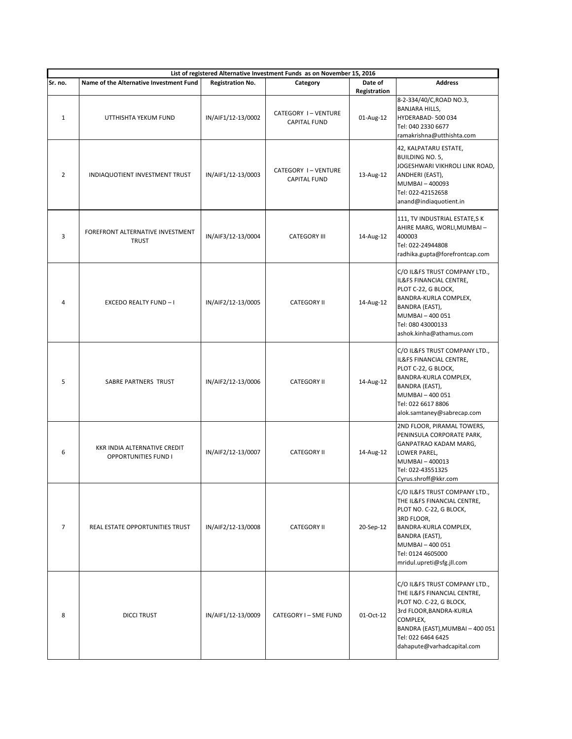| List of registered Alternative Investment Funds as on November 15, 2016 |                                                             |                         |                                           |                         |                                                                                                                                                                                                                        |  |
|-------------------------------------------------------------------------|-------------------------------------------------------------|-------------------------|-------------------------------------------|-------------------------|------------------------------------------------------------------------------------------------------------------------------------------------------------------------------------------------------------------------|--|
| Sr. no.                                                                 | Name of the Alternative Investment Fund                     | <b>Registration No.</b> | Category                                  | Date of<br>Registration | <b>Address</b>                                                                                                                                                                                                         |  |
| $\mathbf{1}$                                                            | UTTHISHTA YEKUM FUND                                        | IN/AIF1/12-13/0002      | CATEGORY I-VENTURE<br><b>CAPITAL FUND</b> | 01-Aug-12               | 8-2-334/40/C, ROAD NO.3,<br><b>BANJARA HILLS,</b><br>HYDERABAD-500 034<br>Tel: 040 2330 6677<br>ramakrishna@utthishta.com                                                                                              |  |
| $\overline{2}$                                                          | INDIAQUOTIENT INVESTMENT TRUST                              | IN/AIF1/12-13/0003      | CATEGORY I-VENTURE<br><b>CAPITAL FUND</b> | 13-Aug-12               | 42, KALPATARU ESTATE,<br><b>BUILDING NO. 5,</b><br>JOGESHWARI VIKHROLI LINK ROAD,<br>ANDHERI (EAST),<br>MUMBAI-400093<br>Tel: 022-42152658<br>anand@indiaquotient.in                                                   |  |
| 3                                                                       | FOREFRONT ALTERNATIVE INVESTMENT<br><b>TRUST</b>            | IN/AIF3/12-13/0004      | <b>CATEGORY III</b>                       | 14-Aug-12               | 111, TV INDUSTRIAL ESTATE, SK<br>AHIRE MARG, WORLI, MUMBAI -<br>400003<br>Tel: 022-24944808<br>radhika.gupta@forefrontcap.com                                                                                          |  |
| 4                                                                       | EXCEDO REALTY FUND - I                                      | IN/AIF2/12-13/0005      | <b>CATEGORY II</b>                        | 14-Aug-12               | C/O IL&FS TRUST COMPANY LTD.,<br>IL&FS FINANCIAL CENTRE,<br>PLOT C-22, G BLOCK,<br>BANDRA-KURLA COMPLEX,<br>BANDRA (EAST),<br>MUMBAI - 400 051<br>Tel: 080 43000133<br>ashok.kinha@athamus.com                         |  |
| 5                                                                       | SABRE PARTNERS TRUST                                        | IN/AIF2/12-13/0006      | <b>CATEGORY II</b>                        | 14-Aug-12               | C/O IL&FS TRUST COMPANY LTD.,<br>IL&FS FINANCIAL CENTRE,<br>PLOT C-22, G BLOCK,<br>BANDRA-KURLA COMPLEX,<br>BANDRA (EAST),<br>MUMBAI - 400 051<br>Tel: 022 6617 8806<br>alok.samtaney@sabrecap.com                     |  |
| 6                                                                       | KKR INDIA ALTERNATIVE CREDIT<br><b>OPPORTUNITIES FUND I</b> | IN/AIF2/12-13/0007      | <b>CATEGORY II</b>                        | 14-Aug-12               | 2ND FLOOR, PIRAMAL TOWERS,<br>PENINSULA CORPORATE PARK,<br>GANPATRAO KADAM MARG,<br>LOWER PAREL,<br>MUMBAI-400013<br>Tel: 022-43551325<br>Cyrus.shroff@kkr.com                                                         |  |
| $\overline{7}$                                                          | REAL ESTATE OPPORTUNITIES TRUST                             | IN/AIF2/12-13/0008      | <b>CATEGORY II</b>                        | 20-Sep-12               | C/O IL&FS TRUST COMPANY LTD.,<br>THE IL&FS FINANCIAL CENTRE,<br>PLOT NO. C-22, G BLOCK,<br>3RD FLOOR,<br>BANDRA-KURLA COMPLEX,<br>BANDRA (EAST),<br>MUMBAI - 400 051<br>Tel: 0124 4605000<br>mridul.upreti@sfg.jll.com |  |
| 8                                                                       | <b>DICCI TRUST</b>                                          | IN/AIF1/12-13/0009      | CATEGORY I - SME FUND                     | 01-Oct-12               | C/O IL&FS TRUST COMPANY LTD.,<br>THE IL&FS FINANCIAL CENTRE,<br>PLOT NO. C-22, G BLOCK,<br>3rd FLOOR, BANDRA-KURLA<br>COMPLEX,<br>BANDRA (EAST), MUMBAI - 400 051<br>Tel: 022 6464 6425<br>dahapute@varhadcapital.com  |  |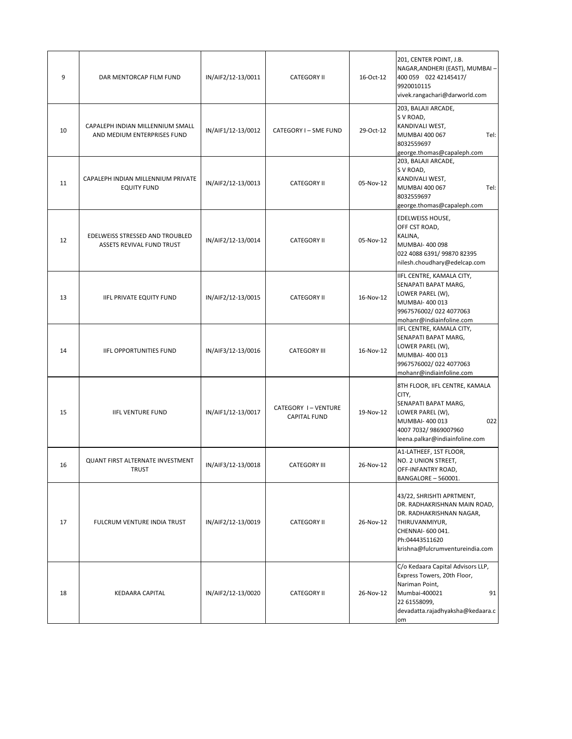| 9  | DAR MENTORCAP FILM FUND                                         | IN/AIF2/12-13/0011 | <b>CATEGORY II</b>                        | 16-Oct-12 | 201, CENTER POINT, J.B.<br>NAGAR, ANDHERI (EAST), MUMBAI-<br>400 059 022 42145417/<br>9920010115<br>vivek.rangachari@darworld.com                                                 |
|----|-----------------------------------------------------------------|--------------------|-------------------------------------------|-----------|-----------------------------------------------------------------------------------------------------------------------------------------------------------------------------------|
| 10 | CAPALEPH INDIAN MILLENNIUM SMALL<br>AND MEDIUM ENTERPRISES FUND | IN/AIF1/12-13/0012 | CATEGORY I - SME FUND                     | 29-Oct-12 | 203, BALAJI ARCADE,<br>S V ROAD,<br>KANDIVALI WEST,<br>MUMBAI 400 067<br>Tel:<br>8032559697<br>george.thomas@capaleph.com                                                         |
| 11 | CAPALEPH INDIAN MILLENNIUM PRIVATE<br><b>EQUITY FUND</b>        | IN/AIF2/12-13/0013 | <b>CATEGORY II</b>                        | 05-Nov-12 | 203, BALAJI ARCADE,<br>S V ROAD,<br>KANDIVALI WEST,<br>MUMBAI 400 067<br>Tel:<br>8032559697<br>george.thomas@capaleph.com                                                         |
| 12 | EDELWEISS STRESSED AND TROUBLED<br>ASSETS REVIVAL FUND TRUST    | IN/AIF2/12-13/0014 | <b>CATEGORY II</b>                        | 05-Nov-12 | EDELWEISS HOUSE,<br>OFF CST ROAD,<br>KALINA,<br>MUMBAI- 400 098<br>022 4088 6391/ 99870 82395<br>nilesh.choudhary@edelcap.com                                                     |
| 13 | <b>IIFL PRIVATE EQUITY FUND</b>                                 | IN/AIF2/12-13/0015 | <b>CATEGORY II</b>                        | 16-Nov-12 | IIFL CENTRE, KAMALA CITY,<br>SENAPATI BAPAT MARG,<br>LOWER PAREL (W),<br>MUMBAI- 400 013<br>9967576002/022 4077063<br>mohanr@indiainfoline.com                                    |
| 14 | <b>IIFL OPPORTUNITIES FUND</b>                                  | IN/AIF3/12-13/0016 | <b>CATEGORY III</b>                       | 16-Nov-12 | IIFL CENTRE, KAMALA CITY,<br>SENAPATI BAPAT MARG,<br>LOWER PAREL (W),<br>MUMBAI- 400 013<br>9967576002/022 4077063<br>mohanr@indiainfoline.com                                    |
| 15 | <b>IIFL VENTURE FUND</b>                                        | IN/AIF1/12-13/0017 | CATEGORY I-VENTURE<br><b>CAPITAL FUND</b> | 19-Nov-12 | 8TH FLOOR, IIFL CENTRE, KAMALA<br>CITY,<br>SENAPATI BAPAT MARG,<br>LOWER PAREL (W),<br>022<br>MUMBAI-400013<br>4007 7032/ 9869007960<br>leena.palkar@indiainfoline.com            |
| 16 | QUANT FIRST ALTERNATE INVESTMENT<br><b>TRUST</b>                | IN/AIF3/12-13/0018 | <b>CATEGORY III</b>                       | 26-Nov-12 | A1-LATHEEF, 1ST FLOOR,<br>NO. 2 UNION STREET,<br>OFF-INFANTRY ROAD,<br>BANGALORE - 560001.                                                                                        |
| 17 | FULCRUM VENTURE INDIA TRUST                                     | IN/AIF2/12-13/0019 | <b>CATEGORY II</b>                        | 26-Nov-12 | 43/22, SHRISHTI APRTMENT,<br>DR. RADHAKRISHNAN MAIN ROAD,<br>DR. RADHAKRISHNAN NAGAR,<br>THIRUVANMIYUR,<br>CHENNAI- 600 041.<br>Ph:04443511620<br>krishna@fulcrumventureindia.com |
| 18 | KEDAARA CAPITAL                                                 | IN/AIF2/12-13/0020 | <b>CATEGORY II</b>                        | 26-Nov-12 | C/o Kedaara Capital Advisors LLP,<br>Express Towers, 20th Floor,<br>Nariman Point,<br>Mumbai-400021<br>91<br>22 61558099,<br>devadatta.rajadhyaksha@kedaara.c<br>om               |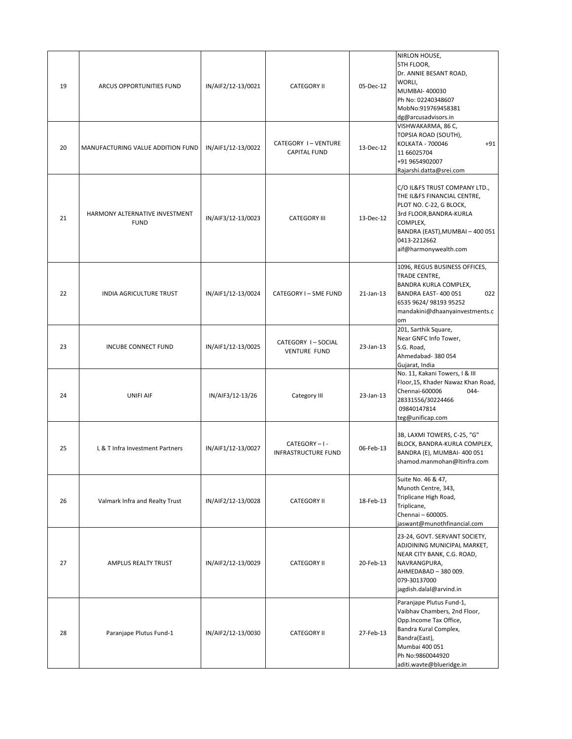| 19 | ARCUS OPPORTUNITIES FUND                      | IN/AIF2/12-13/0021 | <b>CATEGORY II</b>                        | 05-Dec-12 | NIRLON HOUSE,<br>5TH FLOOR,<br>Dr. ANNIE BESANT ROAD,<br>WORLI,<br>MUMBAI- 400030<br>Ph No: 02240348607<br>MobNo:919769458381<br>dg@arcusadvisors.in<br>VISHWAKARMA, 86 C,                                 |
|----|-----------------------------------------------|--------------------|-------------------------------------------|-----------|------------------------------------------------------------------------------------------------------------------------------------------------------------------------------------------------------------|
| 20 | MANUFACTURING VALUE ADDITION FUND             | IN/AIF1/12-13/0022 | CATEGORY I-VENTURE<br><b>CAPITAL FUND</b> | 13-Dec-12 | TOPSIA ROAD (SOUTH),<br>KOLKATA - 700046<br>+91<br>11 66025704<br>+91 9654902007<br>Rajarshi.datta@srei.com                                                                                                |
| 21 | HARMONY ALTERNATIVE INVESTMENT<br><b>FUND</b> | IN/AIF3/12-13/0023 | <b>CATEGORY III</b>                       | 13-Dec-12 | C/O IL&FS TRUST COMPANY LTD.,<br>THE IL&FS FINANCIAL CENTRE,<br>PLOT NO. C-22, G BLOCK,<br>3rd FLOOR, BANDRA-KURLA<br>COMPLEX,<br>BANDRA (EAST), MUMBAI - 400 051<br>0413-2212662<br>aif@harmonywealth.com |
| 22 | INDIA AGRICULTURE TRUST                       | IN/AIF1/12-13/0024 | CATEGORY I - SME FUND                     | 21-Jan-13 | 1096, REGUS BUSINESS OFFICES,<br>TRADE CENTRE,<br>BANDRA KURLA COMPLEX,<br>BANDRA EAST-400 051<br>022<br>6535 9624/ 98193 95252<br>mandakini@dhaanyainvestments.c<br>om                                    |
| 23 | <b>INCUBE CONNECT FUND</b>                    | IN/AIF1/12-13/0025 | CATEGORY I-SOCIAL<br><b>VENTURE FUND</b>  | 23-Jan-13 | 201, Sarthik Square,<br>Near GNFC Info Tower,<br>S.G. Road,<br>Ahmedabad- 380 054<br>Gujarat, India                                                                                                        |
| 24 | <b>UNIFI AIF</b>                              | IN/AIF3/12-13/26   | Category III                              | 23-Jan-13 | No. 11, Kakani Towers, I & III<br>Floor, 15, Khader Nawaz Khan Road,<br>$044 -$<br>Chennai-600006<br>28331556/30224466<br>09840147814<br>teg@unificap.com                                                  |
| 25 | L & T Infra Investment Partners               | IN/AIF1/12-13/0027 | CATEGORY-I-<br><b>INFRASTRUCTURE FUND</b> | 06-Feb-13 | 3B, LAXMI TOWERS, C-25, "G"<br>BLOCK, BANDRA-KURLA COMPLEX,<br>BANDRA (E), MUMBAI-400 051<br>shamod.manmohan@Itinfra.com                                                                                   |
| 26 | Valmark Infra and Realty Trust                | IN/AIF2/12-13/0028 | <b>CATEGORY II</b>                        | 18-Feb-13 | Suite No. 46 & 47,<br>Munoth Centre, 343,<br>Triplicane High Road,<br>Triplicane,<br>Chennai - 600005.<br>jaswant@munothfinancial.com                                                                      |
| 27 | <b>AMPLUS REALTY TRUST</b>                    | IN/AIF2/12-13/0029 | <b>CATEGORY II</b>                        | 20-Feb-13 | 23-24, GOVT. SERVANT SOCIETY,<br>ADJOINING MUNICIPAL MARKET,<br>NEAR CITY BANK, C.G. ROAD,<br>NAVRANGPURA,<br>AHMEDABAD - 380 009.<br>079-30137000<br>jagdish.dalal@arvind.in                              |
| 28 | Paranjape Plutus Fund-1                       | IN/AIF2/12-13/0030 | <b>CATEGORY II</b>                        | 27-Feb-13 | Paranjape Plutus Fund-1,<br>Vaibhav Chambers, 2nd Floor,<br>Opp.Income Tax Office,<br>Bandra Kural Complex,<br>Bandra(East),<br>Mumbai 400 051<br>Ph No:9860044920<br>aditi.wavte@blueridge.in             |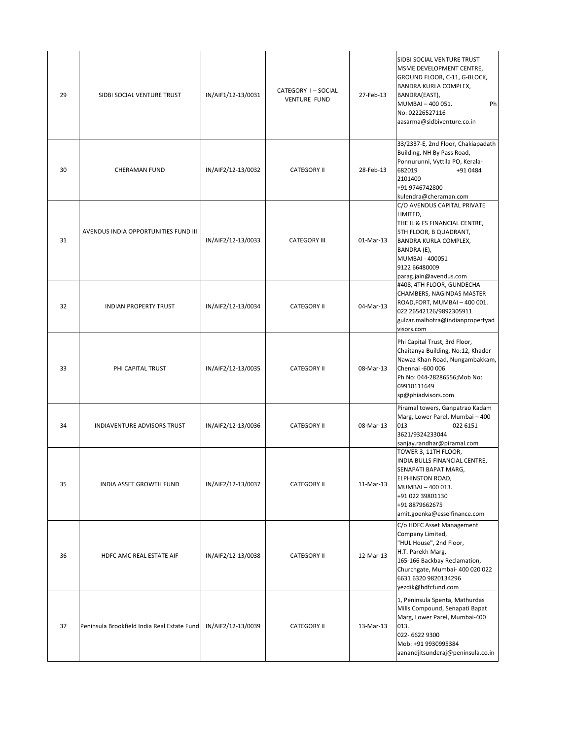| 29 | SIDBI SOCIAL VENTURE TRUST                  | IN/AIF1/12-13/0031 | CATEGORY I-SOCIAL<br><b>VENTURE FUND</b> | 27-Feb-13 | SIDBI SOCIAL VENTURE TRUST<br>MSME DEVELOPMENT CENTRE,<br>GROUND FLOOR, C-11, G-BLOCK,<br>BANDRA KURLA COMPLEX,<br>BANDRA(EAST),<br>MUMBAI - 400 051.<br>Ph<br>No: 02226527116<br>aasarma@sidbiventure.co.in    |
|----|---------------------------------------------|--------------------|------------------------------------------|-----------|-----------------------------------------------------------------------------------------------------------------------------------------------------------------------------------------------------------------|
| 30 | <b>CHERAMAN FUND</b>                        | IN/AIF2/12-13/0032 | <b>CATEGORY II</b>                       | 28-Feb-13 | 33/2337-E, 2nd Floor, Chakiapadath<br>Building, NH By Pass Road,<br>Ponnurunni, Vyttila PO, Kerala-<br>682019<br>+91 0484<br>2101400<br>+91 9746742800<br>kulendra@cheraman.com                                 |
| 31 | AVENDUS INDIA OPPORTUNITIES FUND III        | IN/AIF2/12-13/0033 | <b>CATEGORY III</b>                      | 01-Mar-13 | C/O AVENDUS CAPITAL PRIVATE<br>LIMITED,<br>THE IL & FS FINANCIAL CENTRE,<br>5TH FLOOR, B QUADRANT,<br>BANDRA KURLA COMPLEX,<br>BANDRA (E),<br>MUMBAI - 400051<br>9122 66480009<br>parag.jain@avendus.com        |
| 32 | <b>INDIAN PROPERTY TRUST</b>                | IN/AIF2/12-13/0034 | <b>CATEGORY II</b>                       | 04-Mar-13 | #408, 4TH FLOOR, GUNDECHA<br>CHAMBERS, NAGINDAS MASTER<br>ROAD, FORT, MUMBAI-400 001.<br>022 26542126/9892305911<br>gulzar.malhotra@indianpropertyad<br>visors.com                                              |
| 33 | PHI CAPITAL TRUST                           | IN/AIF2/12-13/0035 | <b>CATEGORY II</b>                       | 08-Mar-13 | Phi Capital Trust, 3rd Floor,<br>Chaitanya Building, No:12, Khader<br>Nawaz Khan Road, Nungambakkam,<br>Chennai -600 006<br>Ph No: 044-28286556; Mob No:<br>09910111649<br>sp@phiadvisors.com                   |
| 34 | INDIAVENTURE ADVISORS TRUST                 | IN/AIF2/12-13/0036 | <b>CATEGORY II</b>                       | 08-Mar-13 | Piramal towers, Ganpatrao Kadam<br>Marg, Lower Parel, Mumbai - 400<br>013<br>022 6151<br>3621/9324233044<br>sanjay.randhar@piramal.com                                                                          |
| 35 | INDIA ASSET GROWTH FUND                     | IN/AIF2/12-13/0037 | <b>CATEGORY II</b>                       | 11-Mar-13 | TOWER 3, 11TH FLOOR,<br>INDIA BULLS FINANCIAL CENTRE,<br>SENAPATI BAPAT MARG,<br><b>ELPHINSTON ROAD,</b><br>MUMBAI-400013.<br>+91 022 39801130<br>+91 8879662675<br>amit.goenka@esselfinance.com                |
| 36 | HDFC AMC REAL ESTATE AIF                    | IN/AIF2/12-13/0038 | <b>CATEGORY II</b>                       | 12-Mar-13 | C/o HDFC Asset Management<br>Company Limited,<br>"HUL House", 2nd Floor,<br>H.T. Parekh Marg,<br>165-166 Backbay Reclamation,<br>Churchgate, Mumbai- 400 020 022<br>6631 6320 9820134296<br>yezdik@hdfcfund.com |
| 37 | Peninsula Brookfield India Real Estate Fund | IN/AIF2/12-13/0039 | <b>CATEGORY II</b>                       | 13-Mar-13 | 1, Peninsula Spenta, Mathurdas<br>Mills Compound, Senapati Bapat<br>Marg, Lower Parel, Mumbai-400<br>013.<br>022-6622 9300<br>Mob: +91 9930995384<br>aanandjitsunderaj@peninsula.co.in                          |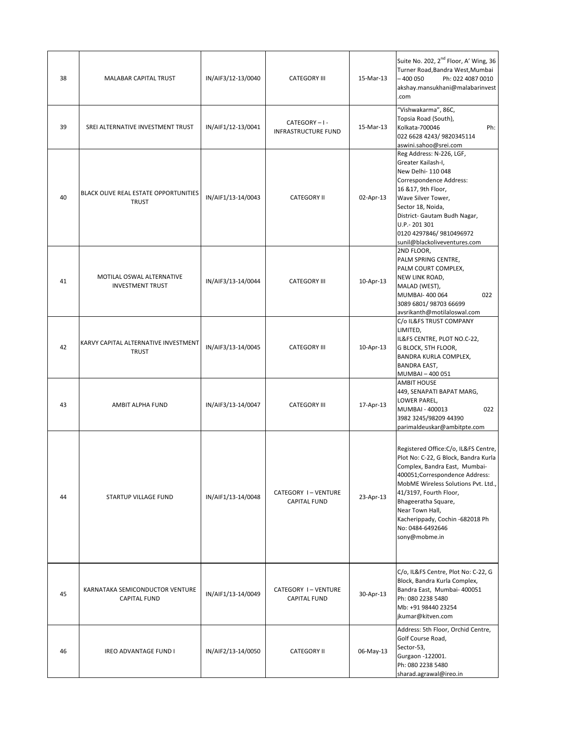| 38 | MALABAR CAPITAL TRUST                                  | IN/AIF3/12-13/0040 | <b>CATEGORY III</b>                       | 15-Mar-13 | Suite No. 202, 2 <sup>nd</sup> Floor, A' Wing, 36<br>Turner Road, Bandra West, Mumbai<br>- 400 050<br>Ph: 022 4087 0010<br>akshay.mansukhani@malabarinvest<br>.com                                                                                                                                                                  |
|----|--------------------------------------------------------|--------------------|-------------------------------------------|-----------|-------------------------------------------------------------------------------------------------------------------------------------------------------------------------------------------------------------------------------------------------------------------------------------------------------------------------------------|
| 39 | SREI ALTERNATIVE INVESTMENT TRUST                      | IN/AIF1/12-13/0041 | CATEGORY-I-<br>INFRASTRUCTURE FUND        | 15-Mar-13 | "Vishwakarma", 86C,<br>Topsia Road (South),<br>Kolkata-700046<br>Ph:<br>022 6628 4243/ 9820345114<br>aswini.sahoo@srei.com                                                                                                                                                                                                          |
| 40 | BLACK OLIVE REAL ESTATE OPPORTUNITIES<br><b>TRUST</b>  | IN/AIF1/13-14/0043 | <b>CATEGORY II</b>                        | 02-Apr-13 | Reg Address: N-226, LGF,<br>Greater Kailash-I,<br>New Delhi- 110 048<br>Correspondence Address:<br>16 & 17, 9th Floor,<br>Wave Silver Tower,<br>Sector 18, Noida,<br>District- Gautam Budh Nagar,<br>U.P.- 201 301<br>0120 4297846/ 9810496972<br>sunil@blackoliveventures.com                                                      |
| 41 | MOTILAL OSWAL ALTERNATIVE<br><b>INVESTMENT TRUST</b>   | IN/AIF3/13-14/0044 | <b>CATEGORY III</b>                       | 10-Apr-13 | 2ND FLOOR,<br>PALM SPRING CENTRE,<br>PALM COURT COMPLEX,<br>NEW LINK ROAD,<br>MALAD (WEST),<br>MUMBAI- 400 064<br>022<br>3089 6801/98703 66699<br>avsrikanth@motilaloswal.com                                                                                                                                                       |
| 42 | KARVY CAPITAL ALTERNATIVE INVESTMENT<br><b>TRUST</b>   | IN/AIF3/13-14/0045 | <b>CATEGORY III</b>                       | 10-Apr-13 | C/o IL&FS TRUST COMPANY<br>LIMITED,<br>IL&FS CENTRE, PLOT NO.C-22,<br>G BLOCK, 5TH FLOOR,<br>BANDRA KURLA COMPLEX,<br><b>BANDRA EAST,</b><br>MUMBAI - 400 051                                                                                                                                                                       |
| 43 | AMBIT ALPHA FUND                                       | IN/AIF3/13-14/0047 | <b>CATEGORY III</b>                       | 17-Apr-13 | <b>AMBIT HOUSE</b><br>449, SENAPATI BAPAT MARG,<br>LOWER PAREL,<br>MUMBAI - 400013<br>022<br>3982 3245/98209 44390<br>parimaldeuskar@ambitpte.com                                                                                                                                                                                   |
| 44 | STARTUP VILLAGE FUND                                   | IN/AIF1/13-14/0048 | CATEGORY I-VENTURE<br><b>CAPITAL FUND</b> | 23-Apr-13 | Registered Office: C/o, IL&FS Centre,<br>Plot No: C-22, G Block, Bandra Kurla<br>Complex, Bandra East, Mumbai-<br>400051;Correspondence Address:<br>MobME Wireless Solutions Pvt. Ltd.,<br>41/3197, Fourth Floor,<br>Bhageeratha Square,<br>Near Town Hall,<br>Kacherippady, Cochin -682018 Ph<br>No: 0484-6492646<br>sony@mobme.in |
| 45 | KARNATAKA SEMICONDUCTOR VENTURE<br><b>CAPITAL FUND</b> | IN/AIF1/13-14/0049 | CATEGORY I-VENTURE<br><b>CAPITAL FUND</b> | 30-Apr-13 | C/o, IL&FS Centre, Plot No: C-22, G<br>Block, Bandra Kurla Complex,<br>Bandra East, Mumbai- 400051<br>Ph: 080 2238 5480<br>Mb: +91 98440 23254<br>jkumar@kitven.com                                                                                                                                                                 |
| 46 | <b>IREO ADVANTAGE FUND I</b>                           | IN/AIF2/13-14/0050 | <b>CATEGORY II</b>                        | 06-May-13 | Address: 5th Floor, Orchid Centre,<br>Golf Course Road,<br>Sector-53,<br>Gurgaon -122001.<br>Ph: 080 2238 5480<br>sharad.agrawal@ireo.in                                                                                                                                                                                            |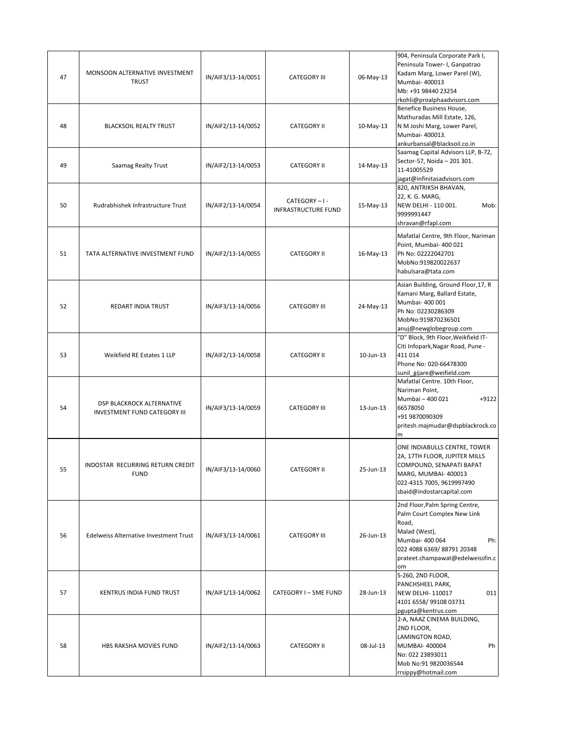| 47 | MONSOON ALTERNATIVE INVESTMENT<br><b>TRUST</b>                   | IN/AIF3/13-14/0051 | <b>CATEGORY III</b>                       | 06-May-13 | 904, Peninsula Corporate Park I,<br>Peninsula Tower- I, Ganpatrao<br>Kadam Marg, Lower Parel (W),<br>Mumbai- 400013<br>Mb: +91 98440 23254<br>rkohli@proalphaadvisors.com                |
|----|------------------------------------------------------------------|--------------------|-------------------------------------------|-----------|------------------------------------------------------------------------------------------------------------------------------------------------------------------------------------------|
| 48 | <b>BLACKSOIL REALTY TRUST</b>                                    | IN/AIF2/13-14/0052 | <b>CATEGORY II</b>                        | 10-May-13 | Benefice Business House,<br>Mathuradas Mill Estate, 126,<br>N M Joshi Marg, Lower Parel,<br>Mumbai- 400013.<br>ankurbansal@blacksoil.co.in                                               |
| 49 | Saamag Realty Trust                                              | IN/AIF2/13-14/0053 | <b>CATEGORY II</b>                        | 14-May-13 | Saamag Capital Advisors LLP, B-72,<br>Sector-57, Noida - 201 301.<br>11-41005529<br>jagat@infinitasadvisors.com                                                                          |
| 50 | Rudrabhishek Infrastructure Trust                                | IN/AIF2/13-14/0054 | CATEGORY-I-<br><b>INFRASTRUCTURE FUND</b> | 15-May-13 | 820, ANTRIKSH BHAVAN,<br>22, K. G. MARG,<br>NEW DELHI - 110 001.<br>Mob:<br>9999991447<br>shravan@rfapl.com                                                                              |
| 51 | TATA ALTERNATIVE INVESTMENT FUND                                 | IN/AIF2/13-14/0055 | <b>CATEGORY II</b>                        | 16-May-13 | Mafatlal Centre, 9th Floor, Nariman<br>Point, Mumbai- 400 021<br>Ph No: 02222042701<br>MobNo:919820022637<br>habulsara@tata.com                                                          |
| 52 | REDART INDIA TRUST                                               | IN/AIF3/13-14/0056 | <b>CATEGORY III</b>                       | 24-May-13 | Asian Building, Ground Floor, 17, R<br>Kamani Marg, Ballard Estate,<br>Mumbai- 400 001<br>Ph No: 02230286309<br>MobNo:919870236501<br>anuj@newglobegroup.com                             |
| 53 | Weikfield RE Estates 1 LLP                                       | IN/AIF2/13-14/0058 | <b>CATEGORY II</b>                        | 10-Jun-13 | "D" Block, 9th Floor, Weikfield IT-<br>Citi Infopark, Nagar Road, Pune -<br>411 014<br>Phone No: 020-66478300<br>sunil_gijare@weifield.com                                               |
| 54 | DSP BLACKROCK ALTERNATIVE<br><b>INVESTMENT FUND CATEGORY III</b> | IN/AIF3/13-14/0059 | <b>CATEGORY III</b>                       | 13-Jun-13 | Mafatlal Centre. 10th Floor,<br>Nariman Point,<br>$+9122$<br>Mumbai - 400 021<br>66578050<br>+91 9870090309<br>pritesh.majmudar@dspblackrock.co<br>m                                     |
| 55 | INDOSTAR RECURRING RETURN CREDIT<br><b>FUND</b>                  | IN/AIF3/13-14/0060 | <b>CATEGORY II</b>                        | 25-Jun-13 | ONE INDIABULLS CENTRE, TOWER<br>2A, 17TH FLOOR, JUPITER MILLS<br>COMPOUND, SENAPATI BAPAT<br>MARG, MUMBAI-400013<br>022-4315 7005, 9619997490<br>sbaid@indostarcapital.com               |
| 56 | Edelweiss Alternative Investment Trust                           | IN/AIF3/13-14/0061 | <b>CATEGORY III</b>                       | 26-Jun-13 | 2nd Floor, Palm Spring Centre,<br>Palm Court Complex New Link<br>Road,<br>Malad (West),<br>Mumbai- 400 064<br>Ph:<br>022 4088 6369/88791 20348<br>prateet.champawat@edelweissfin.c<br>om |
| 57 | KENTRUS INDIA FUND TRUST                                         | IN/AIF1/13-14/0062 | CATEGORY I - SME FUND                     | 28-Jun-13 | S-260, 2ND FLOOR,<br>PANCHSHEEL PARK,<br><b>NEW DELHI-110017</b><br>011<br>4101 6558/99108 03731<br>pgupta@kentrus.com                                                                   |
| 58 | HBS RAKSHA MOVIES FUND                                           | IN/AIF2/13-14/0063 | <b>CATEGORY II</b>                        | 08-Jul-13 | 2-A, NAAZ CINEMA BUILDING,<br>2ND FLOOR,<br>LAMINGTON ROAD,<br>MUMBAI- 400004<br>Ph<br>No: 022 23893011<br>Mob No:91 9820036544<br>rrsippy@hotmail.com                                   |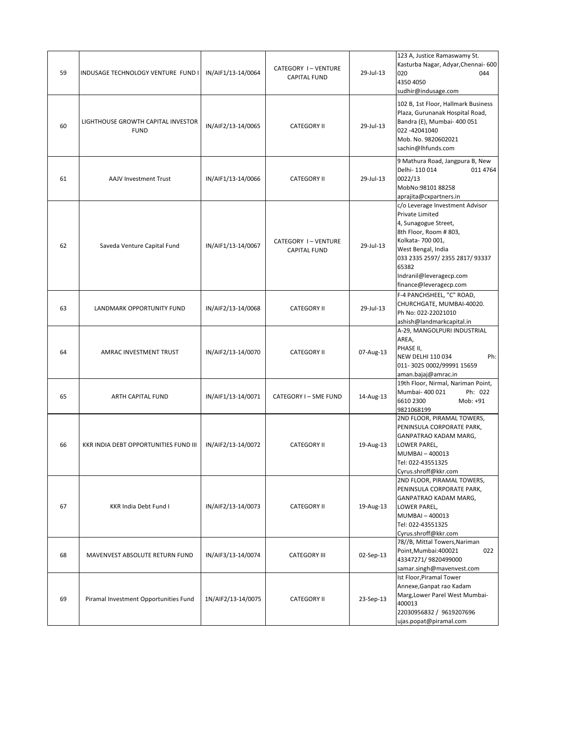| 59 | INDUSAGE TECHNOLOGY VENTURE FUND I                | IN/AIF1/13-14/0064 | CATEGORY I-VENTURE<br><b>CAPITAL FUND</b> | 29-Jul-13 | 123 A, Justice Ramaswamy St.<br>Kasturba Nagar, Adyar, Chennai-600<br>020<br>044<br>4350 4050<br>sudhir@indusage.com                                                                                                                            |
|----|---------------------------------------------------|--------------------|-------------------------------------------|-----------|-------------------------------------------------------------------------------------------------------------------------------------------------------------------------------------------------------------------------------------------------|
| 60 | LIGHTHOUSE GROWTH CAPITAL INVESTOR<br><b>FUND</b> | IN/AIF2/13-14/0065 | <b>CATEGORY II</b>                        | 29-Jul-13 | 102 B, 1st Floor, Hallmark Business<br>Plaza, Gurunanak Hospital Road,<br>Bandra (E), Mumbai- 400 051<br>022 -42041040<br>Mob. No. 9820602021<br>sachin@lhfunds.com                                                                             |
| 61 | <b>AAJV Investment Trust</b>                      | IN/AIF1/13-14/0066 | <b>CATEGORY II</b>                        | 29-Jul-13 | 9 Mathura Road, Jangpura B, New<br>Delhi-110014<br>011 4764<br>0022/13<br>MobNo:98101 88258<br>aprajita@cxpartners.in                                                                                                                           |
| 62 | Saveda Venture Capital Fund                       | IN/AIF1/13-14/0067 | CATEGORY I-VENTURE<br><b>CAPITAL FUND</b> | 29-Jul-13 | c/o Leverage Investment Advisor<br>Private Limited<br>4, Sunagogue Street,<br>8th Floor, Room # 803,<br>Kolkata-700 001,<br>West Bengal, India<br>033 2335 2597/ 2355 2817/ 93337<br>65382<br>Indranil@leveragecp.com<br>finance@leveragecp.com |
| 63 | LANDMARK OPPORTUNITY FUND                         | IN/AIF2/13-14/0068 | <b>CATEGORY II</b>                        | 29-Jul-13 | F-4 PANCHSHEEL, "C" ROAD,<br>CHURCHGATE, MUMBAI-40020.<br>Ph No: 022-22021010<br>ashish@landmarkcapital.in                                                                                                                                      |
| 64 | AMRAC INVESTMENT TRUST                            | IN/AIF2/13-14/0070 | <b>CATEGORY II</b>                        | 07-Aug-13 | A-29, MANGOLPURI INDUSTRIAL<br>AREA,<br>PHASE II,<br><b>NEW DELHI 110 034</b><br>Ph:<br>011-3025 0002/99991 15659<br>aman.bajaj@amrac.in                                                                                                        |
| 65 | ARTH CAPITAL FUND                                 | IN/AIF1/13-14/0071 | CATEGORY I - SME FUND                     | 14-Aug-13 | 19th Floor, Nirmal, Nariman Point,<br>Mumbai- 400 021<br>Ph: 022<br>6610 2300<br>Mob: +91<br>9821068199                                                                                                                                         |
| 66 | KKR INDIA DEBT OPPORTUNITIES FUND III             | IN/AIF2/13-14/0072 | <b>CATEGORY II</b>                        | 19-Aug-13 | 2ND FLOOR, PIRAMAL TOWERS,<br>PENINSULA CORPORATE PARK,<br>GANPATRAO KADAM MARG,<br>LOWER PAREL,<br>MUMBAI - 400013<br>Tel: 022-43551325<br>Cyrus.shroff@kkr.com                                                                                |
| 67 | KKR India Debt Fund I                             | IN/AIF2/13-14/0073 | <b>CATEGORY II</b>                        | 19-Aug-13 | 2ND FLOOR, PIRAMAL TOWERS,<br>PENINSULA CORPORATE PARK,<br>GANPATRAO KADAM MARG,<br>LOWER PAREL,<br>MUMBAI-400013<br>Tel: 022-43551325<br>Cyrus.shroff@kkr.com                                                                                  |
| 68 | MAVENVEST ABSOLUTE RETURN FUND                    | IN/AIF3/13-14/0074 | <b>CATEGORY III</b>                       | 02-Sep-13 | 78//B, Mittal Towers, Nariman<br>022<br>Point, Mumbai: 400021<br>43347271/9820499000<br>samar.singh@mavenvest.com                                                                                                                               |
| 69 | Piramal Investment Opportunities Fund             | 1N/AIF2/13-14/0075 | <b>CATEGORY II</b>                        | 23-Sep-13 | Ist Floor, Piramal Tower<br>Annexe, Ganpat rao Kadam<br>Marg, Lower Parel West Mumbai-<br>400013<br>22030956832 / 9619207696<br>ujas.popat@piramal.com                                                                                          |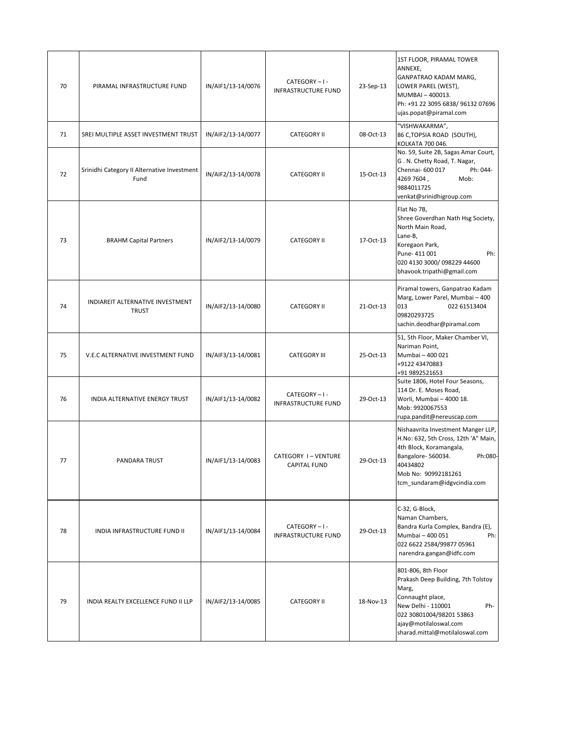| 70 | PIRAMAL INFRASTRUCTURE FUND                         | IN/AIF1/13-14/0076 | CATEGORY-I-<br>INFRASTRUCTURE FUND        | 23-Sep-13 | 1ST FLOOR, PIRAMAL TOWER<br>ANNEXE,<br>GANPATRAO KADAM MARG,<br>LOWER PAREL (WEST),<br>MUMBAI-400013.<br>Ph: +91 22 3095 6838/ 96132 07696<br>ujas.popat@piramal.com                                      |
|----|-----------------------------------------------------|--------------------|-------------------------------------------|-----------|-----------------------------------------------------------------------------------------------------------------------------------------------------------------------------------------------------------|
| 71 | SREI MULTIPLE ASSET INVESTMENT TRUST                | IN/AIF2/13-14/0077 | <b>CATEGORY II</b>                        | 08-Oct-13 | "VISHWAKARMA",<br>86 C, TOPSIA ROAD (SOUTH),<br>KOLKATA 700 046.                                                                                                                                          |
| 72 | Srinidhi Category II Alternative Investment<br>Fund | IN/AIF2/13-14/0078 | <b>CATEGORY II</b>                        | 15-Oct-13 | No. 59, Suite 2B, Sagas Amar Court,<br>G. N. Chetty Road, T. Nagar,<br>Chennai- 600 017<br>Ph: 044-<br>4269 7604,<br>Mob:<br>9884011725<br>venkat@srinidhigroup.com                                       |
| 73 | <b>BRAHM Capital Partners</b>                       | IN/AIF2/13-14/0079 | <b>CATEGORY II</b>                        | 17-Oct-13 | Flat No 7B,<br>Shree Goverdhan Nath Hsg Society,<br>North Main Road,<br>Lane-B,<br>Koregaon Park,<br>Pune-411 001<br>Ph:<br>020 4130 3000/ 098229 44600<br>bhavook.tripathi@gmail.com                     |
| 74 | INDIAREIT ALTERNATIVE INVESTMENT<br><b>TRUST</b>    | IN/AIF2/13-14/0080 | <b>CATEGORY II</b>                        | 21-Oct-13 | Piramal towers, Ganpatrao Kadam<br>Marg, Lower Parel, Mumbai - 400<br>013<br>022 61513404<br>09820293725<br>sachin.deodhar@piramal.com                                                                    |
| 75 | V.E.C ALTERNATIVE INVESTMENT FUND                   | IN/AIF3/13-14/0081 | <b>CATEGORY III</b>                       | 25-Oct-13 | 51, 5th Floor, Maker Chamber VI,<br>Nariman Point,<br>Mumbai - 400 021<br>+9122 43470883<br>+91 9892521653                                                                                                |
| 76 | INDIA ALTERNATIVE ENERGY TRUST                      | IN/AIF1/13-14/0082 | CATEGORY-I-<br><b>INFRASTRUCTURE FUND</b> | 29-Oct-13 | Suite 1806, Hotel Four Seasons,<br>114 Dr. E. Moses Road,<br>Worli, Mumbai - 4000 18.<br>Mob: 9920067553<br>rupa.pandit@nereuscap.com                                                                     |
| 77 | PANDARA TRUST                                       | IN/AIF1/13-14/0083 | CATEGORY I-VENTURE<br><b>CAPITAL FUND</b> | 29-Oct-13 | Nishaavrita Investment Manger LLP,<br>H.No: 632, 5th Cross, 12th 'A" Main,<br>4th Block, Koramangala,<br>Bangalore-560034.<br>Ph:080-<br>40434802<br>Mob No: 90992181261<br>tcm_sundaram@idgvcindia.com   |
| 78 | INDIA INFRASTRUCTURE FUND II                        | IN/AIF1/13-14/0084 | CATEGORY-I-<br>INFRASTRUCTURE FUND        | 29-Oct-13 | C-32, G-Block,<br>Naman Chambers,<br>Bandra Kurla Complex, Bandra (E),<br>Mumbai - 400 051<br>Ph:<br>022 6622 2584/99877 05961<br>narendra.gangan@idfc.com                                                |
| 79 | INDIA REALTY EXCELLENCE FUND II LLP                 | IN/AIF2/13-14/0085 | <b>CATEGORY II</b>                        | 18-Nov-13 | 801-806, 8th Floor<br>Prakash Deep Building, 7th Tolstoy<br>Marg,<br>Connaught place,<br>New Delhi - 110001<br>Ph-<br>022 30801004/98201 53863<br>ajay@motilaloswal.com<br>sharad.mittal@motilaloswal.com |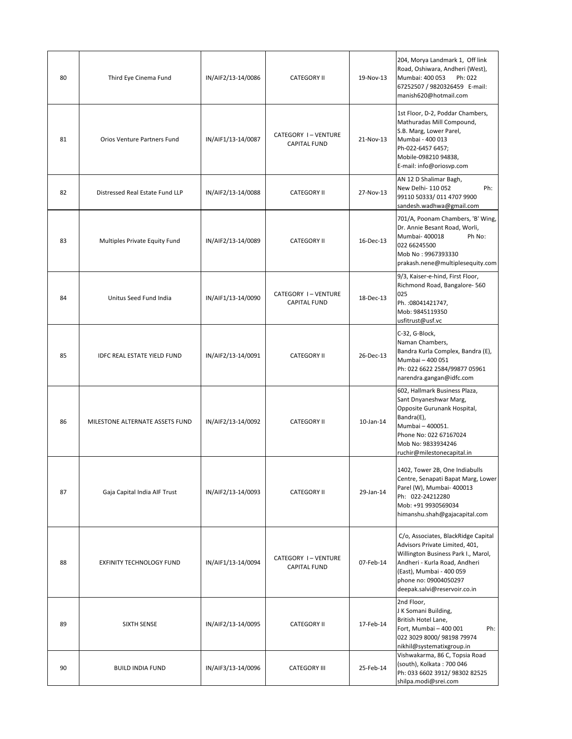| 80 | Third Eye Cinema Fund           | IN/AIF2/13-14/0086 | <b>CATEGORY II</b>                        | 19-Nov-13 | 204, Morya Landmark 1, Off link<br>Road, Oshiwara, Andheri (West),<br>Mumbai: 400 053<br>Ph: 022<br>67252507 / 9820326459 E-mail:<br>manish620@hotmail.com                                                                         |
|----|---------------------------------|--------------------|-------------------------------------------|-----------|------------------------------------------------------------------------------------------------------------------------------------------------------------------------------------------------------------------------------------|
| 81 | Orios Venture Partners Fund     | IN/AIF1/13-14/0087 | CATEGORY I-VENTURE<br><b>CAPITAL FUND</b> | 21-Nov-13 | 1st Floor, D-2, Poddar Chambers,<br>Mathuradas Mill Compound,<br>S.B. Marg, Lower Parel,<br>Mumbai - 400 013<br>Ph-022-6457 6457;<br>Mobile-098210 94838,<br>E-mail: info@oriosvp.com                                              |
| 82 | Distressed Real Estate Fund LLP | IN/AIF2/13-14/0088 | <b>CATEGORY II</b>                        | 27-Nov-13 | AN 12 D Shalimar Bagh,<br>New Delhi- 110 052<br>Ph:<br>99110 50333/011 4707 9900<br>sandesh.wadhwa@gmail.com                                                                                                                       |
| 83 | Multiples Private Equity Fund   | IN/AIF2/13-14/0089 | <b>CATEGORY II</b>                        | 16-Dec-13 | 701/A, Poonam Chambers, 'B' Wing,<br>Dr. Annie Besant Road, Worli,<br>Mumbai- 400018<br>Ph No:<br>022 66245500<br>Mob No: 9967393330<br>prakash.nene@multiplesequity.com                                                           |
| 84 | Unitus Seed Fund India          | IN/AIF1/13-14/0090 | CATEGORY I-VENTURE<br><b>CAPITAL FUND</b> | 18-Dec-13 | 9/3, Kaiser-e-hind, First Floor,<br>Richmond Road, Bangalore-560<br>025<br>Ph.: 08041421747,<br>Mob: 9845119350<br>usfitrust@usf.vc                                                                                                |
| 85 | IDFC REAL ESTATE YIELD FUND     | IN/AIF2/13-14/0091 | <b>CATEGORY II</b>                        | 26-Dec-13 | C-32, G-Block,<br>Naman Chambers,<br>Bandra Kurla Complex, Bandra (E),<br>Mumbai - 400 051<br>Ph: 022 6622 2584/99877 05961<br>narendra.gangan@idfc.com                                                                            |
| 86 | MILESTONE ALTERNATE ASSETS FUND | IN/AIF2/13-14/0092 | <b>CATEGORY II</b>                        | 10-Jan-14 | 602, Hallmark Business Plaza,<br>Sant Dnyaneshwar Marg,<br>Opposite Gurunank Hospital,<br>Bandra(E),<br>Mumbai - 400051.<br>Phone No: 022 67167024<br>Mob No: 9833934246<br>ruchir@milestonecapital.in                             |
| 87 | Gaja Capital India AIF Trust    | IN/AIF2/13-14/0093 | <b>CATEGORY II</b>                        | 29-Jan-14 | 1402, Tower 2B, One Indiabulls<br>Centre, Senapati Bapat Marg, Lower<br>Parel (W), Mumbai- 400013<br>Ph: 022-24212280<br>Mob: +91 9930569034<br>himanshu.shah@gajacapital.com                                                      |
| 88 | <b>EXFINITY TECHNOLOGY FUND</b> | IN/AIF1/13-14/0094 | CATEGORY I-VENTURE<br><b>CAPITAL FUND</b> | 07-Feb-14 | C/o, Associates, BlackRidge Capital<br>Advisors Private Limited, 401,<br>Willington Business Park I., Marol,<br>Andheri - Kurla Road, Andheri<br>(East), Mumbai - 400 059<br>phone no: 09004050297<br>deepak.salvi@reservoir.co.in |
| 89 | SIXTH SENSE                     | IN/AIF2/13-14/0095 | <b>CATEGORY II</b>                        | 17-Feb-14 | 2nd Floor,<br>J K Somani Building,<br>British Hotel Lane,<br>Ph:<br>Fort, Mumbai - 400 001<br>022 3029 8000/ 98198 79974<br>nikhil@systematixgroup.in                                                                              |
| 90 | <b>BUILD INDIA FUND</b>         | IN/AIF3/13-14/0096 | <b>CATEGORY III</b>                       | 25-Feb-14 | Vishwakarma, 86 C, Topsia Road<br>(south), Kolkata: 700 046<br>Ph: 033 6602 3912/ 98302 82525<br>shilpa.modi@srei.com                                                                                                              |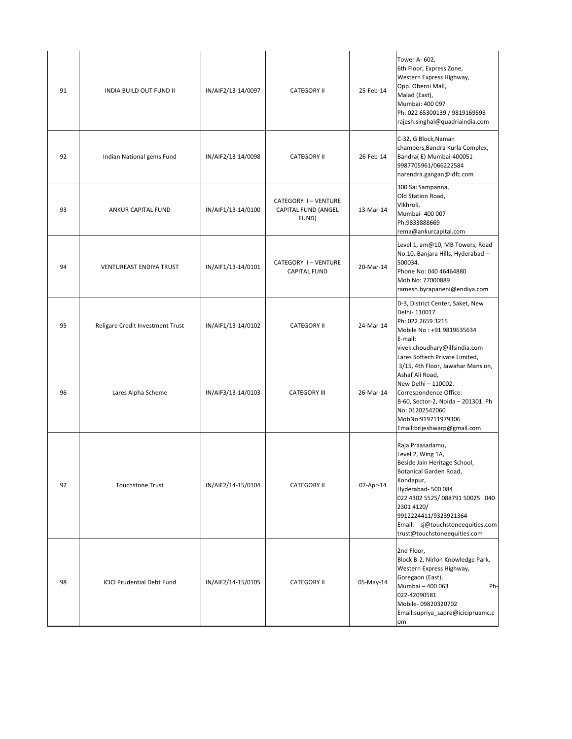| 91 | <b>INDIA BUILD OUT FUND II</b>    | IN/AIF2/13-14/0097 | <b>CATEGORY II</b>                                 | 25-Feb-14 | Tower A- 602,<br>6th Floor, Express Zone,<br>Western Express Highway,<br>Opp. Oberoi Mall,<br>Malad (East),<br>Mumbai: 400 097<br>Ph: 022 65300139 / 9819169598<br>rajesh.singhal@quadriaindia.com                                                                            |
|----|-----------------------------------|--------------------|----------------------------------------------------|-----------|-------------------------------------------------------------------------------------------------------------------------------------------------------------------------------------------------------------------------------------------------------------------------------|
| 92 | Indian National gems Fund         | IN/AIF2/13-14/0098 | <b>CATEGORY II</b>                                 | 26-Feb-14 | C-32, G Block, Naman<br>chambers, Bandra Kurla Complex,<br>Bandra(E) Mumbai-400051<br>9987705961/066222584<br>narendra.gangan@idfc.com                                                                                                                                        |
| 93 | ANKUR CAPITAL FUND                | IN/AIF1/13-14/0100 | CATEGORY I-VENTURE<br>CAPITAL FUND (ANGEL<br>FUND) | 13-Mar-14 | 300 Sai Sampanna,<br>Old Station Road,<br>Vikhroli,<br>Mumbai- 400 007<br>Ph:9833888669<br>rema@ankurcapital.com                                                                                                                                                              |
| 94 | <b>VENTUREAST ENDIYA TRUST</b>    | IN/AIF1/13-14/0101 | CATEGORY I-VENTURE<br><b>CAPITAL FUND</b>          | 20-Mar-14 | Level 1, am@10, MB Towers, Road<br>No.10, Banjara Hills, Hyderabad -<br>500034.<br>Phone No: 040 46464880<br>Mob No: 77000889<br>ramesh.byrapaneni@endiya.com                                                                                                                 |
| 95 | Religare Credit Investment Trust  | IN/AIF1/13-14/0102 | <b>CATEGORY II</b>                                 | 24-Mar-14 | D-3, District Center, Saket, New<br>Delhi-110017<br>Ph: 022 2659 3215<br>Mobile No: +91 9819635634<br>E-mail:<br>vivek.choudhary@ilfsindia.com                                                                                                                                |
| 96 | Lares Alpha Scheme                | IN/AIF3/13-14/0103 | <b>CATEGORY III</b>                                | 26-Mar-14 | Lares Softech Private Limited,<br>3/15, 4th Floor, Jawahar Mansion,<br>Ashaf Ali Road,<br>New Delhi - 110002.<br>Correspondence Office:<br>B-60, Sector-2, Noida - 201301 Ph<br>No: 01202542060<br>MobNo:919711979306<br>Email:brijeshwarp@gmail.com                          |
| 97 | <b>Touchstone Trust</b>           | IN/AIF2/14-15/0104 | <b>CATEGORY II</b>                                 | 07-Apr-14 | Raja Praasadamu,<br>Level 2, Wing 1A,<br>Beside Jain Heritage School,<br>Botanical Garden Road,<br>Kondapur,<br>Hyderabad-500084<br>022 4302 5525/088791 50025 040<br>2301 4120/<br>9912224411/9323921364<br>Email: sj@touchstoneequities.com<br>trust@touchstoneequities.com |
| 98 | <b>ICICI Prudential Debt Fund</b> | IN/AIF2/14-15/0105 | <b>CATEGORY II</b>                                 | 05-May-14 | 2nd Floor,<br>Block B-2, Nirlon Knowledge Park,<br>Western Express Highway,<br>Goregaon (East),<br>Mumbai - 400 063<br>Ph-<br>022-42090581<br>Mobile-09820320702<br>Email:supriya_sapre@icicipruamc.c<br>om                                                                   |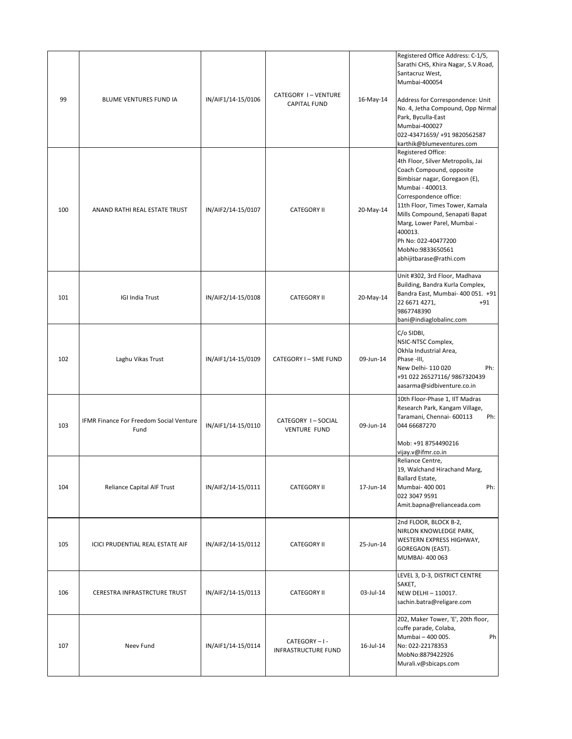| 99  | BLUME VENTURES FUND IA                          | IN/AIF1/14-15/0106 | CATEGORY I-VENTURE<br><b>CAPITAL FUND</b> | 16-May-14 | Registered Office Address: C-1/5,<br>Sarathi CHS, Khira Nagar, S.V.Road,<br>Santacruz West,<br>Mumbai-400054<br>Address for Correspondence: Unit<br>No. 4, Jetha Compound, Opp Nirmal<br>Park, Byculla-East<br>Mumbai-400027<br>022-43471659/ +91 9820562587<br>karthik@blumeventures.com                                                               |
|-----|-------------------------------------------------|--------------------|-------------------------------------------|-----------|---------------------------------------------------------------------------------------------------------------------------------------------------------------------------------------------------------------------------------------------------------------------------------------------------------------------------------------------------------|
| 100 | ANAND RATHI REAL ESTATE TRUST                   | IN/AIF2/14-15/0107 | <b>CATEGORY II</b>                        | 20-May-14 | Registered Office:<br>4th Floor, Silver Metropolis, Jai<br>Coach Compound, opposite<br>Bimbisar nagar, Goregaon (E),<br>Mumbai - 400013.<br>Correspondence office:<br>11th Floor, Times Tower, Kamala<br>Mills Compound, Senapati Bapat<br>Marg, Lower Parel, Mumbai -<br>400013.<br>Ph No: 022-40477200<br>MobNo:9833650561<br>abhijitbarase@rathi.com |
| 101 | <b>IGI India Trust</b>                          | IN/AIF2/14-15/0108 | <b>CATEGORY II</b>                        | 20-May-14 | Unit #302, 3rd Floor, Madhava<br>Building, Bandra Kurla Complex,<br>Bandra East, Mumbai- 400 051. +91<br>22 6671 4271,<br>$+91$<br>9867748390<br>bani@indiaglobalinc.com                                                                                                                                                                                |
| 102 | Laghu Vikas Trust                               | IN/AIF1/14-15/0109 | CATEGORY I - SME FUND                     | 09-Jun-14 | C/o SIDBI,<br>NSIC-NTSC Complex,<br>Okhla Industrial Area,<br>Phase -III,<br>New Delhi- 110 020<br>Ph:<br>+91 022 26527116/ 9867320439<br>aasarma@sidbiventure.co.in                                                                                                                                                                                    |
| 103 | IFMR Finance For Freedom Social Venture<br>Fund | IN/AIF1/14-15/0110 | CATEGORY I-SOCIAL<br><b>VENTURE FUND</b>  | 09-Jun-14 | 10th Floor-Phase 1, IIT Madras<br>Research Park, Kangam Village,<br>Taramani, Chennai- 600113<br>Ph:<br>044 66687270<br>Mob: +91 8754490216<br>vijay.v@ifmr.co.in                                                                                                                                                                                       |
| 104 | Reliance Capital AIF Trust                      | IN/AIF2/14-15/0111 | <b>CATEGORY II</b>                        | 17-Jun-14 | Reliance Centre,<br>19, Walchand Hirachand Marg,<br>Ballard Estate,<br>Mumbai- 400 001<br>Ph:<br>022 3047 9591<br>Amit.bapna@relianceada.com                                                                                                                                                                                                            |
| 105 | ICICI PRUDENTIAL REAL ESTATE AIF                | IN/AIF2/14-15/0112 | <b>CATEGORY II</b>                        | 25-Jun-14 | 2nd FLOOR, BLOCK B-2,<br>NIRLON KNOWLEDGE PARK,<br>WESTERN EXPRESS HIGHWAY,<br>GOREGAON (EAST).<br>MUMBAI- 400 063                                                                                                                                                                                                                                      |
| 106 | CERESTRA INFRASTRCTURE TRUST                    | IN/AIF2/14-15/0113 | <b>CATEGORY II</b>                        | 03-Jul-14 | LEVEL 3, D-3, DISTRICT CENTRE<br>SAKET,<br>NEW DELHI - 110017.<br>sachin.batra@religare.com                                                                                                                                                                                                                                                             |
| 107 | Neev Fund                                       | IN/AIF1/14-15/0114 | CATEGORY-I-<br>INFRASTRUCTURE FUND        | 16-Jul-14 | 202, Maker Tower, 'E', 20th floor,<br>cuffe parade, Colaba,<br>Mumbai - 400 005.<br>Ph<br>No: 022-22178353<br>MobNo:8879422926<br>Murali.v@sbicaps.com                                                                                                                                                                                                  |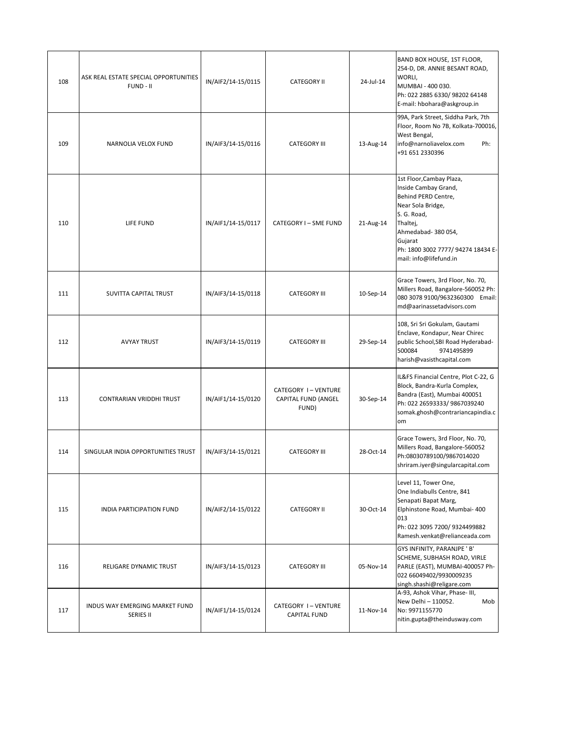| 108 | ASK REAL ESTATE SPECIAL OPPORTUNITIES<br>FUND - II | IN/AIF2/14-15/0115 | <b>CATEGORY II</b>                                 | 24-Jul-14 | BAND BOX HOUSE, 1ST FLOOR,<br>254-D, DR. ANNIE BESANT ROAD,<br>WORLI,<br>MUMBAI - 400 030.<br>Ph: 022 2885 6330/ 98202 64148<br>E-mail: hbohara@askgroup.in                                                             |
|-----|----------------------------------------------------|--------------------|----------------------------------------------------|-----------|-------------------------------------------------------------------------------------------------------------------------------------------------------------------------------------------------------------------------|
| 109 | NARNOLIA VELOX FUND                                | IN/AIF3/14-15/0116 | <b>CATEGORY III</b>                                | 13-Aug-14 | 99A, Park Street, Siddha Park, 7th<br>Floor, Room No 7B, Kolkata-700016,<br>West Bengal,<br>info@narnoliavelox.com<br>Ph:<br>+91 651 2330396                                                                            |
| 110 | LIFE FUND                                          | IN/AIF1/14-15/0117 | CATEGORY I - SME FUND                              | 21-Aug-14 | 1st Floor, Cambay Plaza,<br>Inside Cambay Grand,<br>Behind PERD Centre,<br>Near Sola Bridge,<br>S. G. Road,<br>Thaltej,<br>Ahmedabad-380054,<br>Gujarat<br>Ph: 1800 3002 7777/ 94274 18434 E-<br>mail: info@lifefund.in |
| 111 | SUVITTA CAPITAL TRUST                              | IN/AIF3/14-15/0118 | <b>CATEGORY III</b>                                | 10-Sep-14 | Grace Towers, 3rd Floor, No. 70,<br>Millers Road, Bangalore-560052 Ph:<br>080 3078 9100/9632360300 Email:<br>md@aarinassetadvisors.com                                                                                  |
| 112 | <b>AVYAY TRUST</b>                                 | IN/AIF3/14-15/0119 | <b>CATEGORY III</b>                                | 29-Sep-14 | 108, Sri Sri Gokulam, Gautami<br>Enclave, Kondapur, Near Chirec<br>public School, SBI Road Hyderabad-<br>500084<br>9741495899<br>harish@vasisthcapital.com                                                              |
| 113 | CONTRARIAN VRIDDHI TRUST                           | IN/AIF1/14-15/0120 | CATEGORY I-VENTURE<br>CAPITAL FUND (ANGEL<br>FUND) | 30-Sep-14 | IL&FS Financial Centre, Plot C-22, G<br>Block, Bandra-Kurla Complex,<br>Bandra (East), Mumbai 400051<br>Ph: 022 26593333/ 9867039240<br>somak.ghosh@contrariancapindia.c<br>om                                          |
| 114 | SINGULAR INDIA OPPORTUNITIES TRUST                 | IN/AIF3/14-15/0121 | <b>CATEGORY III</b>                                | 28-Oct-14 | Grace Towers, 3rd Floor, No. 70,<br>Millers Road, Bangalore-560052<br>Ph:08030789100/9867014020<br>shriram.iyer@singularcapital.com                                                                                     |
| 115 | INDIA PARTICIPATION FUND                           | IN/AIF2/14-15/0122 | <b>CATEGORY II</b>                                 | 30-Oct-14 | Level 11, Tower One,<br>One Indiabulls Centre, 841<br>Senapati Bapat Marg,<br>Elphinstone Road, Mumbai- 400<br>013<br>Ph: 022 3095 7200/ 9324499882<br>Ramesh.venkat@relianceada.com                                    |
| 116 | RELIGARE DYNAMIC TRUST                             | IN/AIF3/14-15/0123 | <b>CATEGORY III</b>                                | 05-Nov-14 | GYS INFINITY, PARANJPE ' B'<br>SCHEME, SUBHASH ROAD, VIRLE<br>PARLE (EAST), MUMBAI-400057 Ph-<br>022 66049402/9930009235<br>singh.shashi@religare.com                                                                   |
| 117 | INDUS WAY EMERGING MARKET FUND<br><b>SERIES II</b> | IN/AIF1/14-15/0124 | CATEGORY I-VENTURE<br><b>CAPITAL FUND</b>          | 11-Nov-14 | A-93, Ashok Vihar, Phase- III,<br>New Delhi - 110052.<br>Mob<br>No: 9971155770<br>nitin.gupta@theindusway.com                                                                                                           |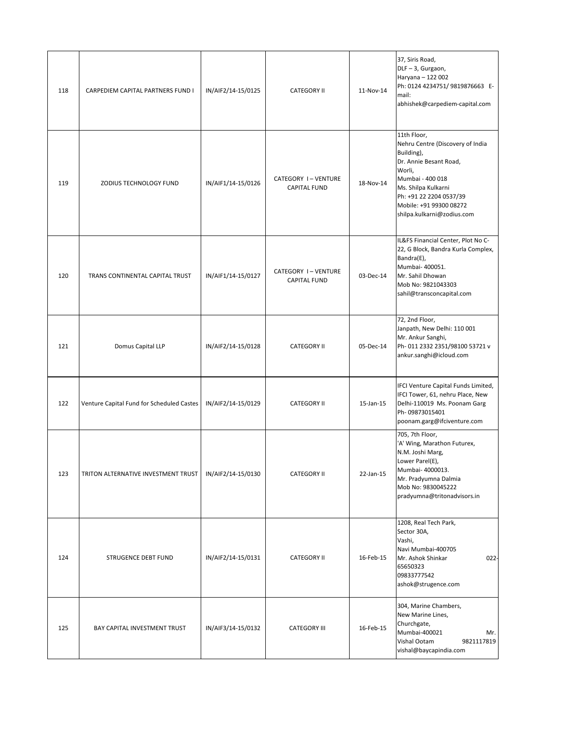| 118 | CARPEDIEM CAPITAL PARTNERS FUND I         | IN/AIF2/14-15/0125 | <b>CATEGORY II</b>                        | 11-Nov-14 | 37, Siris Road,<br>DLF-3, Gurgaon,<br>Haryana - 122 002<br>Ph: 0124 4234751/ 9819876663 E-<br>mail:<br>abhishek@carpediem-capital.com                                                                                            |
|-----|-------------------------------------------|--------------------|-------------------------------------------|-----------|----------------------------------------------------------------------------------------------------------------------------------------------------------------------------------------------------------------------------------|
| 119 | ZODIUS TECHNOLOGY FUND                    | IN/AIF1/14-15/0126 | CATEGORY I-VENTURE<br><b>CAPITAL FUND</b> | 18-Nov-14 | 11th Floor,<br>Nehru Centre (Discovery of India<br>Building),<br>Dr. Annie Besant Road,<br>Worli,<br>Mumbai - 400 018<br>Ms. Shilpa Kulkarni<br>Ph: +91 22 2204 0537/39<br>Mobile: +91 99300 08272<br>shilpa.kulkarni@zodius.com |
| 120 | TRANS CONTINENTAL CAPITAL TRUST           | IN/AIF1/14-15/0127 | CATEGORY I-VENTURE<br><b>CAPITAL FUND</b> | 03-Dec-14 | IL&FS Financial Center, Plot No C-<br>22, G Block, Bandra Kurla Complex,<br>Bandra(E),<br>Mumbai- 400051.<br>Mr. Sahil Dhowan<br>Mob No: 9821043303<br>sahil@transconcapital.com                                                 |
| 121 | Domus Capital LLP                         | IN/AIF2/14-15/0128 | <b>CATEGORY II</b>                        | 05-Dec-14 | 72, 2nd Floor,<br>Janpath, New Delhi: 110 001<br>Mr. Ankur Sanghi,<br>Ph-011 2332 2351/98100 53721 v<br>ankur.sanghi@icloud.com                                                                                                  |
| 122 | Venture Capital Fund for Scheduled Castes | IN/AIF2/14-15/0129 | <b>CATEGORY II</b>                        | 15-Jan-15 | IFCI Venture Capital Funds Limited,<br>IFCI Tower, 61, nehru Place, New<br>Delhi-110019 Ms. Poonam Garg<br>Ph-09873015401<br>poonam.garg@ifciventure.com                                                                         |
| 123 | TRITON ALTERNATIVE INVESTMENT TRUST       | IN/AIF2/14-15/0130 | <b>CATEGORY II</b>                        | 22-Jan-15 | 705, 7th Floor,<br>'A' Wing, Marathon Futurex,<br>N.M. Joshi Marg,<br>Lower Parel(E),<br>Mumbai- 4000013.<br>Mr. Pradyumna Dalmia<br>Mob No: 9830045222<br>pradyumna@tritonadvisors.in                                           |
| 124 | STRUGENCE DEBT FUND                       | IN/AIF2/14-15/0131 | <b>CATEGORY II</b>                        | 16-Feb-15 | 1208, Real Tech Park,<br>Sector 30A,<br>Vashi,<br>Navi Mumbai-400705<br>Mr. Ashok Shinkar<br>$022 -$<br>65650323<br>09833777542<br>ashok@strugence.com                                                                           |
| 125 | BAY CAPITAL INVESTMENT TRUST              | IN/AIF3/14-15/0132 | <b>CATEGORY III</b>                       | 16-Feb-15 | 304, Marine Chambers,<br>New Marine Lines,<br>Churchgate,<br>Mumbai-400021<br>Mr.<br>Vishal Ootam<br>9821117819<br>vishal@baycapindia.com                                                                                        |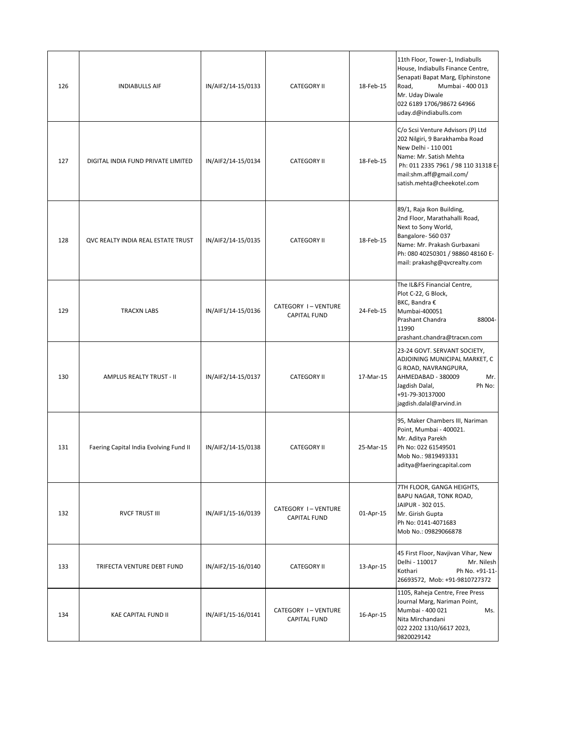| 126 | <b>INDIABULLS AIF</b>                  | IN/AIF2/14-15/0133 | <b>CATEGORY II</b>                        | 18-Feb-15 | 11th Floor, Tower-1, Indiabulls<br>House, Indiabulls Finance Centre,<br>Senapati Bapat Marg, Elphinstone<br>Mumbai - 400 013<br>Road,<br>Mr. Uday Diwale<br>022 6189 1706/98672 64966<br>uday.d@indiabulls.com       |
|-----|----------------------------------------|--------------------|-------------------------------------------|-----------|----------------------------------------------------------------------------------------------------------------------------------------------------------------------------------------------------------------------|
| 127 | DIGITAL INDIA FUND PRIVATE LIMITED     | IN/AIF2/14-15/0134 | <b>CATEGORY II</b>                        | 18-Feb-15 | C/o Scsi Venture Advisors (P) Ltd<br>202 Nilgiri, 9 Barakhamba Road<br>New Delhi - 110 001<br>Name: Mr. Satish Mehta<br>Ph: 011 2335 7961 / 98 110 31318 E-<br>mail:shm.aff@gmail.com/<br>satish.mehta@cheekotel.com |
| 128 | QVC REALTY INDIA REAL ESTATE TRUST     | IN/AIF2/14-15/0135 | <b>CATEGORY II</b>                        | 18-Feb-15 | 89/1, Raja Ikon Building,<br>2nd Floor, Marathahalli Road,<br>Next to Sony World,<br>Bangalore-560037<br>Name: Mr. Prakash Gurbaxani<br>Ph: 080 40250301 / 98860 48160 E-<br>mail: prakashg@qvcrealty.com            |
| 129 | <b>TRACXN LABS</b>                     | IN/AIF1/14-15/0136 | CATEGORY I-VENTURE<br><b>CAPITAL FUND</b> | 24-Feb-15 | The IL&FS Financial Centre,<br>Plot C-22, G Block,<br>BKC, Bandra €<br>Mumbai-400051<br>Prashant Chandra<br>88004-<br>11990<br>prashant.chandra@tracxn.com                                                           |
| 130 | <b>AMPLUS REALTY TRUST - II</b>        | IN/AIF2/14-15/0137 | <b>CATEGORY II</b>                        | 17-Mar-15 | 23-24 GOVT. SERVANT SOCIETY,<br>ADJOINING MUNICIPAL MARKET, C<br>G ROAD, NAVRANGPURA,<br>AHMEDABAD - 380009<br>Mr.<br>Jagdish Dalal,<br>Ph No:<br>+91-79-30137000<br>jagdish.dalal@arvind.in                         |
| 131 | Faering Capital India Evolving Fund II | IN/AIF2/14-15/0138 | <b>CATEGORY II</b>                        | 25-Mar-15 | 95, Maker Chambers III, Nariman<br>Point, Mumbai - 400021.<br>Mr. Aditya Parekh<br>Ph No: 022 61549501<br>Mob No.: 9819493331<br>aditya@faeringcapital.com                                                           |
| 132 | <b>RVCF TRUST III</b>                  | IN/AIF1/15-16/0139 | CATEGORY I-VENTURE<br><b>CAPITAL FUND</b> | 01-Apr-15 | 7TH FLOOR, GANGA HEIGHTS,<br>BAPU NAGAR, TONK ROAD,<br>JAIPUR - 302 015.<br>Mr. Girish Gupta<br>Ph No: 0141-4071683<br>Mob No.: 09829066878                                                                          |
| 133 | TRIFECTA VENTURE DEBT FUND             | IN/AIF2/15-16/0140 | <b>CATEGORY II</b>                        | 13-Apr-15 | 45 First Floor, Navjivan Vihar, New<br>Delhi - 110017<br>Mr. Nilesh<br>Kothari<br>Ph No. +91-11-<br>26693572, Mob: +91-9810727372                                                                                    |
| 134 | <b>KAE CAPITAL FUND II</b>             | IN/AIF1/15-16/0141 | CATEGORY I-VENTURE<br><b>CAPITAL FUND</b> | 16-Apr-15 | 1105, Raheja Centre, Free Press<br>Journal Marg, Nariman Point,<br>Mumbai - 400 021<br>Ms.<br>Nita Mirchandani<br>022 2202 1310/6617 2023,<br>9820029142                                                             |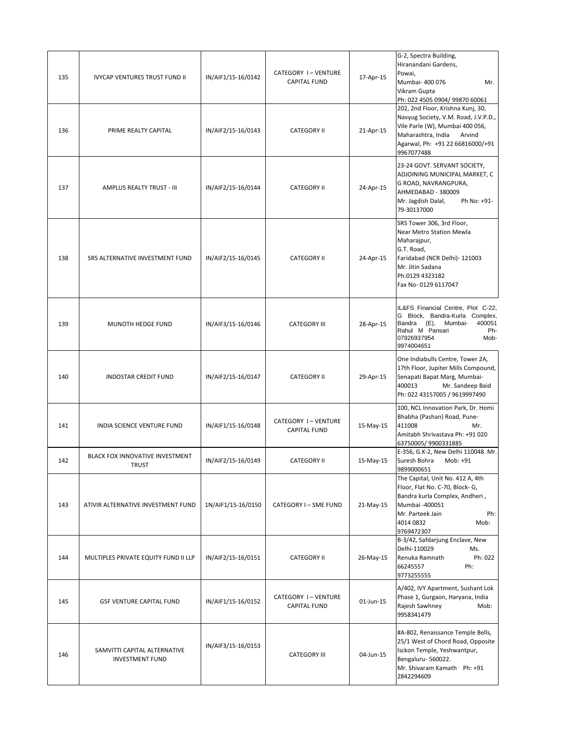| 135 | <b>IVYCAP VENTURES TRUST FUND II</b>                   | IN/AIF1/15-16/0142 | CATEGORY I-VENTURE<br><b>CAPITAL FUND</b> | 17-Apr-15 | G-2, Spectra Building,<br>Hiranandani Gardens,<br>Powai,<br>Mumbai- 400 076<br>Mr.<br>Vikram Gupta<br>Ph: 022 4505 0904/ 99870 60061                                                           |
|-----|--------------------------------------------------------|--------------------|-------------------------------------------|-----------|------------------------------------------------------------------------------------------------------------------------------------------------------------------------------------------------|
| 136 | PRIME REALTY CAPITAL                                   | IN/AIF2/15-16/0143 | <b>CATEGORY II</b>                        | 21-Apr-15 | 202, 2nd Floor, Krishna Kunj, 30,<br>Navyug Society, V.M. Road, J.V.P.D.,<br>Vile Parle (W), Mumbai 400 056,<br>Maharashtra, India<br>Arvind<br>Agarwal, Ph: +91 22 66816000/+91<br>9967077488 |
| 137 | AMPLUS REALTY TRUST - III                              | IN/AIF2/15-16/0144 | <b>CATEGORY II</b>                        | 24-Apr-15 | 23-24 GOVT. SERVANT SOCIETY,<br>ADJOINING MUNICIPAL MARKET, C<br>G ROAD, NAVRANGPURA,<br>AHMEDABAD - 380009<br>Mr. Jagdish Dalal,<br>Ph No: +91-<br>79-30137000                                |
| 138 | SRS ALTERNATIVE INVESTMENT FUND                        | IN/AIF2/15-16/0145 | <b>CATEGORY II</b>                        | 24-Apr-15 | SRS Tower 306, 3rd Floor,<br>Near Metro Station Mewla<br>Maharajpur,<br>G.T. Road,<br>Faridabad (NCR Delhi)- 121003<br>Mr. Jitin Sadana<br>Ph:0129 4323182<br>Fax No-0129 6117047              |
| 139 | MUNOTH HEDGE FUND                                      | IN/AIF3/15-16/0146 | <b>CATEGORY III</b>                       | 28-Apr-15 | IL&FS Financial Centre, Plot C-22,<br>G Block, Bandra-Kurla Complex,<br>400051<br>Bandra (E),<br>Mumbai-<br>Rahul M Pansari<br>Ph-<br>07926937954<br>Mob-<br>9974004651                        |
| 140 | <b>INDOSTAR CREDIT FUND</b>                            | IN/AIF2/15-16/0147 | <b>CATEGORY II</b>                        | 29-Apr-15 | One Indiabulls Centre, Tower 2A,<br>17th Floor, Jupiter Mills Compound,<br>Senapati Bapat Marg, Mumbai-<br>400013<br>Mr. Sandeep Baid<br>Ph: 022 43157005 / 9619997490                         |
| 141 | INDIA SCIENCE VENTURE FUND                             | IN/AIF1/15-16/0148 | CATEGORY I-VENTURE<br><b>CAPITAL FUND</b> | 15-May-15 | 100, NCL Innovation Park, Dr. Homi<br>Bhabha (Pashan) Road, Pune-<br>411008<br>Mr.<br>Amitabh Shrivastava Ph: +91 020<br>63750005/9900331885                                                   |
| 142 | BLACK FOX INNOVATIVE INVESTMENT<br><b>TRUST</b>        | IN/AIF2/15-16/0149 | <b>CATEGORY II</b>                        | 15-May-15 | E-356, G.K-2, New Delhi 110048. Mr.<br>Suresh Bohra<br>Mob: +91<br>9899000651                                                                                                                  |
| 143 | ATIVIR ALTERNATIVE INVESTMENT FUND                     | 1N/AIF1/15-16/0150 | CATEGORY I - SME FUND                     | 21-May-15 | The Capital, Unit No. 412 A, 4th<br>Floor, Flat No. C-70, Block- G,<br>Bandra kurla Complex, Andheri,<br>Mumbai -400051<br>Mr. Parteek Jain<br>Ph:<br>4014 0832<br>Mob:<br>9769472307          |
| 144 | MULTIPLES PRIVATE EQUITY FUND II LLP                   | IN/AIF2/15-16/0151 | <b>CATEGORY II</b>                        | 26-May-15 | B-3/42, Safdarjung Enclave, New<br>Delhi-110029<br>Ms.<br>Renuka Ramnath<br>Ph: 022<br>Ph:<br>66245557<br>9773255555                                                                           |
| 145 | <b>GSF VENTURE CAPITAL FUND</b>                        | IN/AIF1/15-16/0152 | CATEGORY I-VENTURE<br><b>CAPITAL FUND</b> | 01-Jun-15 | A/402, IVY Apartment, Sushant Lok<br>Phase 1, Gurgaon, Haryana, India<br>Rajesh Sawhney<br>Mob:<br>9958341479                                                                                  |
| 146 | SAMVITTI CAPITAL ALTERNATIVE<br><b>INVESTMENT FUND</b> | IN/AIF3/15-16/0153 | <b>CATEGORY III</b>                       | 04-Jun-15 | #A-802, Renaissance Temple Bells,<br>25/1 West of Chord Road, Opposite<br>Isckon Temple, Yeshwantpur,<br>Bengaluru-560022.<br>Mr. Shivaram Kamath Ph: +91<br>2842294609                        |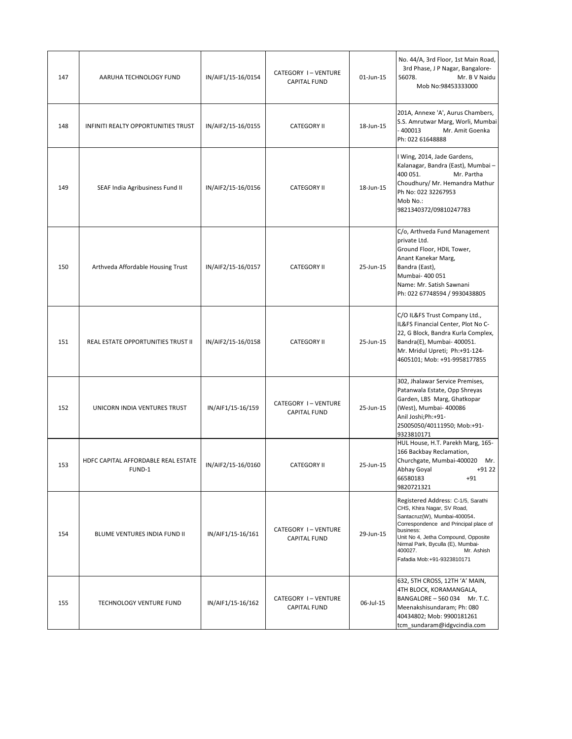| 147 | AARUHA TECHNOLOGY FUND                        | IN/AIF1/15-16/0154 | CATEGORY I-VENTURE<br><b>CAPITAL FUND</b> | 01-Jun-15 | No. 44/A, 3rd Floor, 1st Main Road,<br>3rd Phase, J P Nagar, Bangalore-<br>56078.<br>Mr. B V Naidu<br>Mob No:98453333000                                                                                                                                                                  |
|-----|-----------------------------------------------|--------------------|-------------------------------------------|-----------|-------------------------------------------------------------------------------------------------------------------------------------------------------------------------------------------------------------------------------------------------------------------------------------------|
| 148 | INFINITI REALTY OPPORTUNITIES TRUST           | IN/AIF2/15-16/0155 | <b>CATEGORY II</b>                        | 18-Jun-15 | 201A, Annexe 'A', Aurus Chambers,<br>S.S. Amrutwar Marg, Worli, Mumbai<br>$-400013$<br>Mr. Amit Goenka<br>Ph: 022 61648888                                                                                                                                                                |
| 149 | SEAF India Agribusiness Fund II               | IN/AIF2/15-16/0156 | <b>CATEGORY II</b>                        | 18-Jun-15 | I Wing, 2014, Jade Gardens,<br>Kalanagar, Bandra (East), Mumbai -<br>400 051.<br>Mr. Partha<br>Choudhury/ Mr. Hemandra Mathur<br>Ph No: 022 32267953<br>Mob No.:<br>9821340372/09810247783                                                                                                |
| 150 | Arthveda Affordable Housing Trust             | IN/AIF2/15-16/0157 | <b>CATEGORY II</b>                        | 25-Jun-15 | C/o, Arthveda Fund Management<br>private Ltd.<br>Ground Floor, HDIL Tower,<br>Anant Kanekar Marg,<br>Bandra (East),<br>Mumbai- 400 051<br>Name: Mr. Satish Sawnani<br>Ph: 022 67748594 / 9930438805                                                                                       |
| 151 | REAL ESTATE OPPORTUNITIES TRUST II            | IN/AIF2/15-16/0158 | <b>CATEGORY II</b>                        | 25-Jun-15 | C/O IL&FS Trust Company Ltd.,<br>IL&FS Financial Center, Plot No C-<br>22, G Block, Bandra Kurla Complex,<br>Bandra(E), Mumbai- 400051.<br>Mr. Mridul Upreti; Ph:+91-124-<br>4605101; Mob: +91-9958177855                                                                                 |
| 152 | UNICORN INDIA VENTURES TRUST                  | IN/AIF1/15-16/159  | CATEGORY I-VENTURE<br><b>CAPITAL FUND</b> | 25-Jun-15 | 302, Jhalawar Service Premises,<br>Patanwala Estate, Opp Shreyas<br>Garden, LBS Marg, Ghatkopar<br>(West), Mumbai- 400086<br>Anil Joshi; Ph: +91-<br>25005050/40111950; Mob:+91-<br>9323810171                                                                                            |
| 153 | HDFC CAPITAL AFFORDABLE REAL ESTATE<br>FUND-1 | IN/AIF2/15-16/0160 | <b>CATEGORY II</b>                        | 25-Jun-15 | HUL House, H.T. Parekh Marg, 165-<br>166 Backbay Reclamation,<br>Churchgate, Mumbai-400020 Mr.<br>Abhay Goyal +91 22<br>66580183<br>$+91$<br>9820721321                                                                                                                                   |
| 154 | BLUME VENTURES INDIA FUND II                  | IN/AIF1/15-16/161  | CATEGORY I-VENTURE<br><b>CAPITAL FUND</b> | 29-Jun-15 | Registered Address: C-1/5, Sarathi<br>CHS, Khira Nagar, SV Road,<br>Santacruz(W), Mumbai-400054.<br>Correspondence and Principal place of<br>business:<br>Unit No 4, Jetha Compound, Opposite<br>Nirmal Park, Byculla (E), Mumbai-<br>400027.<br>Mr. Ashish<br>Fafadia Mob:+91-9323810171 |
| 155 | TECHNOLOGY VENTURE FUND                       | IN/AIF1/15-16/162  | CATEGORY I-VENTURE<br><b>CAPITAL FUND</b> | 06-Jul-15 | 632, 5TH CROSS, 12TH 'A' MAIN,<br>4TH BLOCK, KORAMANGALA,<br>BANGALORE - 560 034 Mr. T.C.<br>Meenakshisundaram; Ph: 080<br>40434802; Mob: 9900181261<br>tcm sundaram@idgvcindia.com                                                                                                       |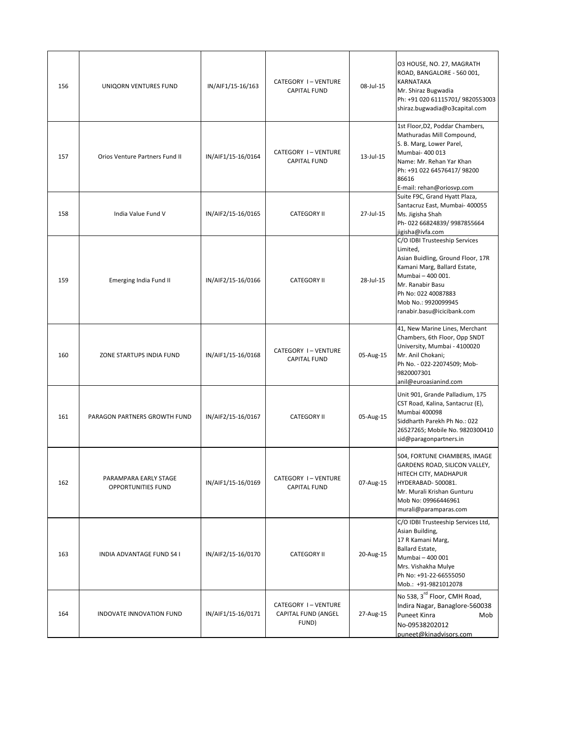| 156 | UNIQORN VENTURES FUND                       | IN/AIF1/15-16/163  | CATEGORY I-VENTURE<br><b>CAPITAL FUND</b>          | $08 -$ Jul-15 | 03 HOUSE, NO. 27, MAGRATH<br>ROAD, BANGALORE - 560 001,<br><b>KARNATAKA</b><br>Mr. Shiraz Bugwadia<br>Ph: +91 020 61115701/ 9820553003<br>shiraz.bugwadia@o3capital.com                                                             |
|-----|---------------------------------------------|--------------------|----------------------------------------------------|---------------|-------------------------------------------------------------------------------------------------------------------------------------------------------------------------------------------------------------------------------------|
| 157 | Orios Venture Partners Fund II              | IN/AIF1/15-16/0164 | CATEGORY I-VENTURE<br><b>CAPITAL FUND</b>          | $13 -$ Jul-15 | 1st Floor, D2, Poddar Chambers,<br>Mathuradas Mill Compound,<br>S. B. Marg, Lower Parel,<br>Mumbai- 400 013<br>Name: Mr. Rehan Yar Khan<br>Ph: +91 022 64576417/ 98200<br>86616<br>E-mail: rehan@oriosvp.com                        |
| 158 | India Value Fund V                          | IN/AIF2/15-16/0165 | <b>CATEGORY II</b>                                 | 27-Jul-15     | Suite F9C, Grand Hyatt Plaza,<br>Santacruz East, Mumbai- 400055<br>Ms. Jigisha Shah<br>Ph-022 66824839/ 9987855664<br>jigisha@ivfa.com                                                                                              |
| 159 | Emerging India Fund II                      | IN/AIF2/15-16/0166 | <b>CATEGORY II</b>                                 | 28-Jul-15     | C/O IDBI Trusteeship Services<br>Limited,<br>Asian Buidling, Ground Floor, 17R<br>Kamani Marg, Ballard Estate,<br>Mumbai - 400 001.<br>Mr. Ranabir Basu<br>Ph No: 022 40087883<br>Mob No.: 9920099945<br>ranabir.basu@icicibank.com |
| 160 | ZONE STARTUPS INDIA FUND                    | IN/AIF1/15-16/0168 | CATEGORY I-VENTURE<br><b>CAPITAL FUND</b>          | 05-Aug-15     | 41, New Marine Lines, Merchant<br>Chambers, 6th Floor, Opp SNDT<br>University, Mumbai - 4100020<br>Mr. Anil Chokani;<br>Ph No. - 022-22074509; Mob-<br>9820007301<br>anil@euroasianind.com                                          |
| 161 | PARAGON PARTNERS GROWTH FUND                | IN/AIF2/15-16/0167 | <b>CATEGORY II</b>                                 | 05-Aug-15     | Unit 901, Grande Palladium, 175<br>CST Road, Kalina, Santacruz (E),<br><b>Mumbai 400098</b><br>Siddharth Parekh Ph No.: 022<br>26527265; Mobile No. 9820300410<br>sid@paragonpartners.in                                            |
| 162 | PARAMPARA EARLY STAGE<br>OPPORTUNITIES FUND | IN/AIF1/15-16/0169 | CATEGORY I-VENTURE<br><b>CAPITAL FUND</b>          | 07-Aug-15     | 504, FORTUNE CHAMBERS, IMAGE<br>GARDENS ROAD, SILICON VALLEY,<br>HITECH CITY, MADHAPUR<br>HYDERABAD-500081.<br>Mr. Murali Krishan Gunturu<br>Mob No: 09966446961<br>murali@paramparas.com                                           |
| 163 | INDIA ADVANTAGE FUND S4 I                   | IN/AIF2/15-16/0170 | <b>CATEGORY II</b>                                 | 20-Aug-15     | C/O IDBI Trusteeship Services Ltd,<br>Asian Building,<br>17 R Kamani Marg,<br>Ballard Estate,<br>Mumbai - 400 001<br>Mrs. Vishakha Mulye<br>Ph No: +91-22-66555050<br>Mob.: +91-9821012078                                          |
| 164 | INDOVATE INNOVATION FUND                    | IN/AIF1/15-16/0171 | CATEGORY I-VENTURE<br>CAPITAL FUND (ANGEL<br>FUND) | 27-Aug-15     | No 538, 3rd Floor, CMH Road,<br>Indira Nagar, Banaglore-560038<br><b>Puneet Kinra</b><br>Mob<br>No-09538202012<br>puneet@kinadvisors.com                                                                                            |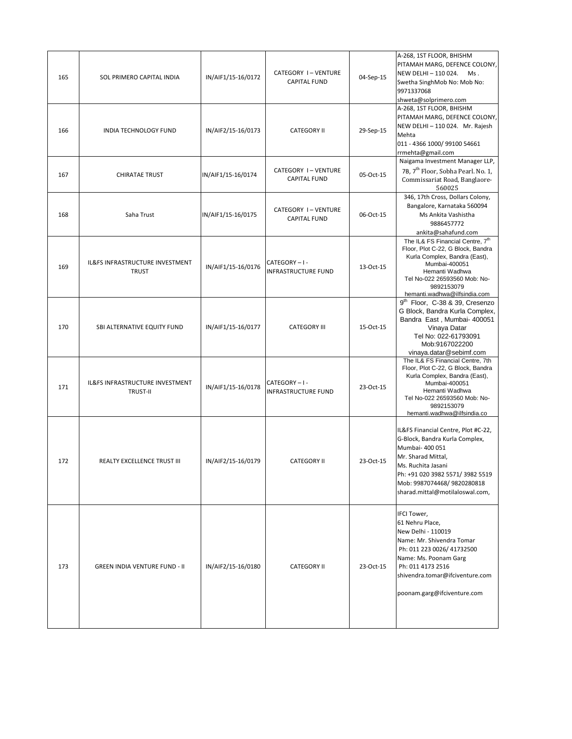| 165 | SOL PRIMERO CAPITAL INDIA                          | IN/AIF1/15-16/0172 | CATEGORY I-VENTURE<br><b>CAPITAL FUND</b>    | 04-Sep-15 | A-268, 1ST FLOOR, BHISHM<br>PITAMAH MARG, DEFENCE COLONY,<br>NEW DELHI - 110 024.<br>Ms.<br>Swetha SinghMob No: Mob No:<br>9971337068<br>shweta@solprimero.com                                                                           |
|-----|----------------------------------------------------|--------------------|----------------------------------------------|-----------|------------------------------------------------------------------------------------------------------------------------------------------------------------------------------------------------------------------------------------------|
| 166 | INDIA TECHNOLOGY FUND                              | IN/AIF2/15-16/0173 | <b>CATEGORY II</b>                           | 29-Sep-15 | A-268, 1ST FLOOR, BHISHM<br>PITAMAH MARG, DEFENCE COLONY,<br>NEW DELHI-110 024. Mr. Rajesh<br>Mehta<br>011 - 4366 1000/ 99100 54661<br>rrmehta@gmail.com                                                                                 |
| 167 | <b>CHIRATAE TRUST</b>                              | IN/AIF1/15-16/0174 | CATEGORY I-VENTURE<br><b>CAPITAL FUND</b>    | 05-Oct-15 | Naigama Investment Manager LLP,<br>7B, 7 <sup>th</sup> Floor, Sobha Pearl. No. 1,<br>Commissariat Road, Banglaore-<br>560025                                                                                                             |
| 168 | Saha Trust                                         | IN/AIF1/15-16/0175 | CATEGORY I-VENTURE<br><b>CAPITAL FUND</b>    | 06-Oct-15 | 346, 17th Cross, Dollars Colony,<br>Bangalore, Karnataka 560094<br>Ms Ankita Vashistha<br>9886457772<br>ankita@sahafund.com                                                                                                              |
| 169 | IL&FS INFRASTRUCTURE INVESTMENT<br><b>TRUST</b>    | IN/AIF1/15-16/0176 | CATEGORY - I -<br><b>INFRASTRUCTURE FUND</b> | 13-Oct-15 | The IL& FS Financial Centre, 7th<br>Floor, Plot C-22, G Block, Bandra<br>Kurla Complex, Bandra (East),<br>Mumbai-400051<br>Hemanti Wadhwa<br>Tel No-022 26593560 Mob: No-<br>9892153079<br>hemanti.wadhwa@ilfsindia.com                  |
| 170 | SBI ALTERNATIVE EQUITY FUND                        | IN/AIF1/15-16/0177 | <b>CATEGORY III</b>                          | 15-Oct-15 | 9 <sup>th</sup> Floor, C-38 & 39, Cresenzo<br>G Block, Bandra Kurla Complex,<br>Bandra East, Mumbai- 400051<br>Vinaya Datar<br>Tel No: 022-61793091<br>Mob:9167022200<br>vinaya.datar@sebimf.com                                         |
| 171 | IL&FS INFRASTRUCTURE INVESTMENT<br><b>TRUST-II</b> | IN/AIF1/15-16/0178 | CATEGORY - I -<br><b>INFRASTRUCTURE FUND</b> | 23-Oct-15 | The IL& FS Financial Centre, 7th<br>Floor, Plot C-22, G Block, Bandra<br>Kurla Complex, Bandra (East),<br>Mumbai-400051<br>Hemanti Wadhwa<br>Tel No-022 26593560 Mob: No-<br>9892153079<br>hemanti.wadhwa@ilfsindia.co                   |
| 172 | REALTY EXCELLENCE TRUST III                        | IN/AIF2/15-16/0179 | <b>CATEGORY II</b>                           | 23-Oct-15 | IL&FS Financial Centre, Plot #C-22,<br>G-Block, Bandra Kurla Complex,<br>Mumbai- 400 051<br>Mr. Sharad Mittal,<br>Ms. Ruchita Jasani<br>Ph: +91 020 3982 5571/3982 5519<br>Mob: 9987074468/9820280818<br>sharad.mittal@motilaloswal.com, |
| 173 | <b>GREEN INDIA VENTURE FUND - II</b>               | IN/AIF2/15-16/0180 | <b>CATEGORY II</b>                           | 23-Oct-15 | <b>IFCI Tower,</b><br>61 Nehru Place,<br>New Delhi - 110019<br>Name: Mr. Shivendra Tomar<br>Ph: 011 223 0026/ 41732500<br>Name: Ms. Poonam Garg<br>Ph: 011 4173 2516<br>shivendra.tomar@ifciventure.com<br>poonam.garg@ifciventure.com   |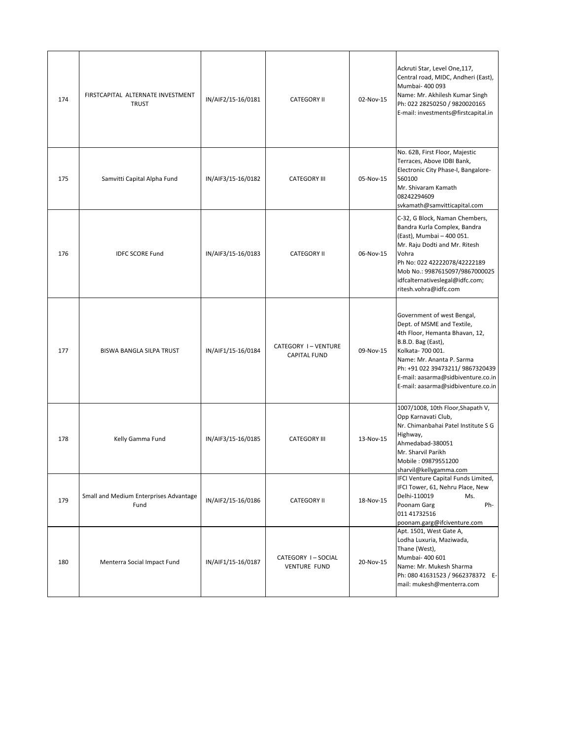| 174 | FIRSTCAPITAL ALTERNATE INVESTMENT<br><b>TRUST</b> | IN/AIF2/15-16/0181 | <b>CATEGORY II</b>                        | 02-Nov-15 | Ackruti Star, Level One, 117,<br>Central road, MIDC, Andheri (East),<br>Mumbai- 400 093<br>Name: Mr. Akhilesh Kumar Singh<br>Ph: 022 28250250 / 9820020165<br>E-mail: investments@firstcapital.in                                                                                 |
|-----|---------------------------------------------------|--------------------|-------------------------------------------|-----------|-----------------------------------------------------------------------------------------------------------------------------------------------------------------------------------------------------------------------------------------------------------------------------------|
| 175 | Samvitti Capital Alpha Fund                       | IN/AIF3/15-16/0182 | <b>CATEGORY III</b>                       | 05-Nov-15 | No. 62B, First Floor, Majestic<br>Terraces, Above IDBI Bank,<br>Electronic City Phase-I, Bangalore-<br>560100<br>Mr. Shivaram Kamath<br>08242294609<br>svkamath@samvitticapital.com                                                                                               |
| 176 | <b>IDFC SCORE Fund</b>                            | IN/AIF3/15-16/0183 | <b>CATEGORY II</b>                        | 06-Nov-15 | C-32, G Block, Naman Chembers,<br>Bandra Kurla Complex, Bandra<br>(East), Mumbai - 400 051.<br>Mr. Raju Dodti and Mr. Ritesh<br>Vohra<br>Ph No: 022 42222078/42222189<br>Mob No.: 9987615097/9867000025<br>idfcalternativeslegal@idfc.com;<br>ritesh.vohra@idfc.com               |
| 177 | BISWA BANGLA SILPA TRUST                          | IN/AIF1/15-16/0184 | CATEGORY I-VENTURE<br><b>CAPITAL FUND</b> | 09-Nov-15 | Government of west Bengal,<br>Dept. of MSME and Textile,<br>4th Floor, Hemanta Bhavan, 12,<br>B.B.D. Bag (East),<br>Kolkata-700 001.<br>Name: Mr. Ananta P. Sarma<br>Ph: +91 022 39473211/ 9867320439<br>E-mail: aasarma@sidbiventure.co.in<br>E-mail: aasarma@sidbiventure.co.in |
| 178 | Kelly Gamma Fund                                  | IN/AIF3/15-16/0185 | <b>CATEGORY III</b>                       | 13-Nov-15 | 1007/1008, 10th Floor, Shapath V,<br>Opp Karnavati Club,<br>Nr. Chimanbahai Patel Institute S G<br>Highway,<br>Ahmedabad-380051<br>Mr. Sharvil Parikh<br>Mobile: 09879551200<br>sharvil@kellygamma.com                                                                            |
| 179 | Small and Medium Enterprises Advantage<br>Fund    | IN/AIF2/15-16/0186 | <b>CATEGORY II</b>                        | 18-Nov-15 | IFCI Venture Capital Funds Limited,<br>IFCI Tower, 61, Nehru Place, New<br>Delhi-110019<br>Ms.<br>Poonam Garg<br>Ph-<br>011 41732516<br>poonam.garg@ifciventure.com                                                                                                               |
| 180 | Menterra Social Impact Fund                       | IN/AIF1/15-16/0187 | CATEGORY I-SOCIAL<br><b>VENTURE FUND</b>  | 20-Nov-15 | Apt. 1501, West Gate A,<br>Lodha Luxuria, Maziwada,<br>Thane (West),<br>Mumbai- 400 601<br>Name: Mr. Mukesh Sharma<br>Ph: 080 41631523 / 9662378372 E-<br>mail: mukesh@menterra.com                                                                                               |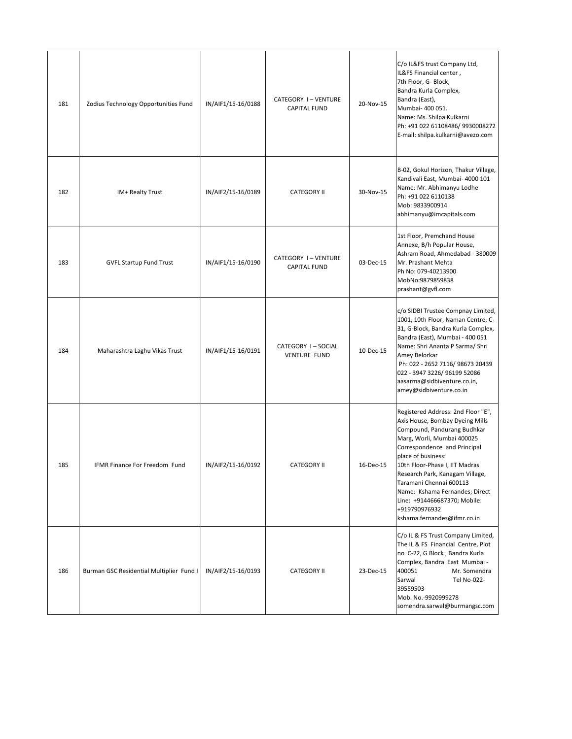| 181 | Zodius Technology Opportunities Fund     | IN/AIF1/15-16/0188 | CATEGORY I-VENTURE<br><b>CAPITAL FUND</b> | 20-Nov-15 | C/o IL&FS trust Company Ltd,<br>IL&FS Financial center,<br>7th Floor, G- Block,<br>Bandra Kurla Complex,<br>Bandra (East),<br>Mumbai- 400 051.<br>Name: Ms. Shilpa Kulkarni<br>Ph: +91 022 61108486/ 9930008272<br>E-mail: shilpa.kulkarni@avezo.com                                                                                                                                                       |
|-----|------------------------------------------|--------------------|-------------------------------------------|-----------|------------------------------------------------------------------------------------------------------------------------------------------------------------------------------------------------------------------------------------------------------------------------------------------------------------------------------------------------------------------------------------------------------------|
| 182 | IM+ Realty Trust                         | IN/AIF2/15-16/0189 | <b>CATEGORY II</b>                        | 30-Nov-15 | B-02, Gokul Horizon, Thakur Village,<br>Kandivali East, Mumbai- 4000 101<br>Name: Mr. Abhimanyu Lodhe<br>Ph: +91 022 6110138<br>Mob: 9833900914<br>abhimanyu@imcapitals.com                                                                                                                                                                                                                                |
| 183 | <b>GVFL Startup Fund Trust</b>           | IN/AIF1/15-16/0190 | CATEGORY I-VENTURE<br><b>CAPITAL FUND</b> | 03-Dec-15 | 1st Floor, Premchand House<br>Annexe, B/h Popular House,<br>Ashram Road, Ahmedabad - 380009<br>Mr. Prashant Mehta<br>Ph No: 079-40213900<br>MobNo:9879859838<br>prashant@gvfl.com                                                                                                                                                                                                                          |
| 184 | Maharashtra Laghu Vikas Trust            | IN/AIF1/15-16/0191 | CATEGORY I-SOCIAL<br><b>VENTURE FUND</b>  | 10-Dec-15 | c/o SIDBI Trustee Compnay Limited,<br>1001, 10th Floor, Naman Centre, C-<br>31, G-Block, Bandra Kurla Complex,<br>Bandra (East), Mumbai - 400 051<br>Name: Shri Ananta P Sarma/ Shri<br>Amey Belorkar<br>Ph: 022 - 2652 7116/ 98673 20439<br>022 - 3947 3226/ 96199 52086<br>aasarma@sidbiventure.co.in,<br>amey@sidbiventure.co.in                                                                        |
| 185 | IFMR Finance For Freedom Fund            | IN/AIF2/15-16/0192 | <b>CATEGORY II</b>                        | 16-Dec-15 | Registered Address: 2nd Floor "E",<br>Axis House, Bombay Dyeing Mills<br>Compound, Pandurang Budhkar<br>Marg, Worli, Mumbai 400025<br>Correspondence and Principal<br>place of business:<br>10th Floor-Phase I, IIT Madras<br>Research Park, Kanagam Village,<br>Taramani Chennai 600113<br>Name: Kshama Fernandes; Direct<br>Line: +914466687370; Mobile:<br>+919790976932<br>kshama.fernandes@ifmr.co.in |
| 186 | Burman GSC Residential Multiplier Fund I | IN/AIF2/15-16/0193 | <b>CATEGORY II</b>                        | 23-Dec-15 | C/o IL & FS Trust Company Limited,<br>The IL & FS Financial Centre, Plot<br>no C-22, G Block, Bandra Kurla<br>Complex, Bandra East Mumbai -<br>400051<br>Mr. Somendra<br>Sarwal<br>Tel No-022-<br>39559503<br>Mob. No.-9920999278<br>somendra.sarwal@burmangsc.com                                                                                                                                         |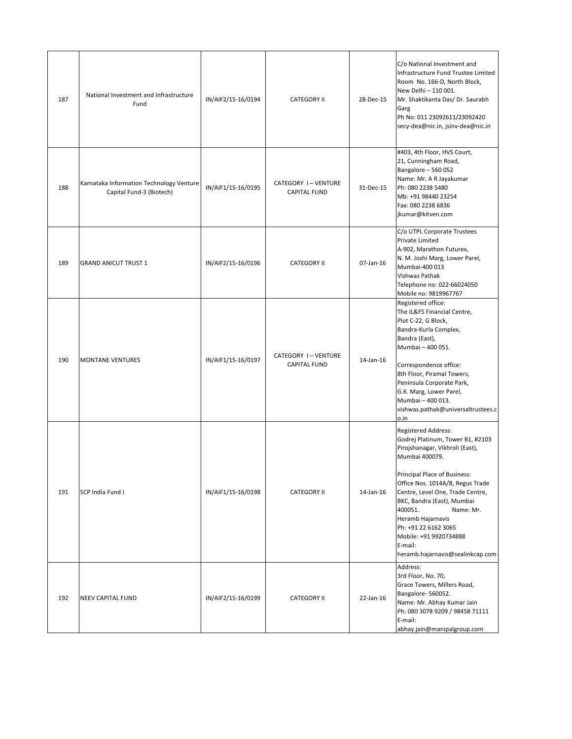| 187 | National Investment and Infrastructure<br>Fund                       | IN/AIF2/15-16/0194 | <b>CATEGORY II</b>                        | 28-Dec-15 | C/o National Investment and<br>Infrastructure Fund Trustee Limited<br>Room No. 166-D, North Block,<br>New Delhi - 110 001.<br>Mr. Shaktikanta Das/ Dr. Saurabh<br>Garg<br>Ph No: 011 23092611/23092420<br>secy-dea@nic.in, jsinv-dea@nic.in                                                                                                                                                             |
|-----|----------------------------------------------------------------------|--------------------|-------------------------------------------|-----------|---------------------------------------------------------------------------------------------------------------------------------------------------------------------------------------------------------------------------------------------------------------------------------------------------------------------------------------------------------------------------------------------------------|
| 188 | Karnataka Information Technology Venture<br>Capital Fund-3 (Biotech) | IN/AIF1/15-16/0195 | CATEGORY I-VENTURE<br><b>CAPITAL FUND</b> | 31-Dec-15 | #403, 4th Floor, HVS Court,<br>21, Cunningham Road,<br>Bangalore - 560 052<br>Name: Mr. A R Jayakumar<br>Ph: 080 2238 5480<br>Mb: +91 98440 23254<br>Fax: 080 2238 6836<br>jkumar@kitven.com                                                                                                                                                                                                            |
| 189 | <b>GRAND ANICUT TRUST 1</b>                                          | IN/AIF2/15-16/0196 | <b>CATEGORY II</b>                        | 07-Jan-16 | C/o UTPL Corporate Trustees<br>Private Limited<br>A-902, Marathon Futurex,<br>N. M. Joshi Marg, Lower Parel,<br>Mumbai-400 013<br>Vishwas Pathak<br>Telephone no: 022-66024050<br>Mobile no: 9819967767                                                                                                                                                                                                 |
| 190 | <b>MONTANE VENTURES</b>                                              | IN/AIF1/15-16/0197 | CATEGORY I-VENTURE<br><b>CAPITAL FUND</b> | 14-Jan-16 | Registered office:<br>The IL&FS Financial Centre,<br>Plot C-22, G Block,<br>Bandra-Kurla Complex,<br>Bandra (East),<br>Mumbai - 400 051.<br>Correspondence office:<br>8th Floor, Piramal Towers,<br>Peninsula Corporate Park,<br>G.K. Marg, Lower Parel,<br>Mumbai - 400 013.<br>vishwas.pathak@universaltrustees.c<br>o.in                                                                             |
| 191 | SCP India Fund I                                                     | IN/AIF1/15-16/0198 | <b>CATEGORY II</b>                        | 14-Jan-16 | <b>Registered Address:</b><br>Godrej Platinum, Tower B1, #2103<br>Pirojshanagar, Vikhroli (East),<br>Mumbai 400079.<br>Principal Place of Business:<br>Office Nos. 1014A/B, Regus Trade<br>Centre, Level One, Trade Centre,<br>BKC, Bandra (East), Mumbai<br>400051.<br>Name: Mr.<br>Heramb Hajarnavis<br>Ph: +91 22 6162 3065<br>Mobile: +91 9920734888<br>E-mail:<br>heramb.hajarnavis@sealinkcap.com |
| 192 | <b>NEEV CAPITAL FUND</b>                                             | IN/AIF2/15-16/0199 | <b>CATEGORY II</b>                        | 22-Jan-16 | Address:<br>3rd Floor, No. 70,<br>Grace Towers, Millers Road,<br>Bangalore-560052.<br>Name: Mr. Abhay Kumar Jain<br>Ph: 080 3078 9209 / 98458 71111<br>E-mail:<br>abhay.jain@manipalgroup.com                                                                                                                                                                                                           |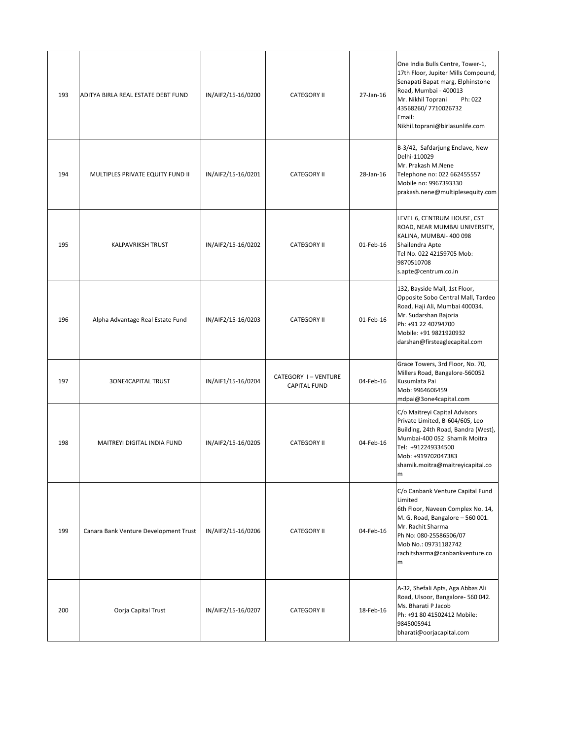| 193 | ADITYA BIRLA REAL ESTATE DEBT FUND    | IN/AIF2/15-16/0200 | <b>CATEGORY II</b>                        | 27-Jan-16    | One India Bulls Centre, Tower-1,<br>17th Floor, Jupiter Mills Compound,<br>Senapati Bapat marg, Elphinstone<br>Road, Mumbai - 400013<br>Mr. Nikhil Toprani<br>Ph: 022<br>43568260/7710026732<br>Email:<br>Nikhil.toprani@birlasunlife.com |
|-----|---------------------------------------|--------------------|-------------------------------------------|--------------|-------------------------------------------------------------------------------------------------------------------------------------------------------------------------------------------------------------------------------------------|
| 194 | MULTIPLES PRIVATE EQUITY FUND II      | IN/AIF2/15-16/0201 | <b>CATEGORY II</b>                        | 28-Jan-16    | B-3/42, Safdarjung Enclave, New<br>Delhi-110029<br>Mr. Prakash M.Nene<br>Telephone no: 022 662455557<br>Mobile no: 9967393330<br>prakash.nene@multiplesequity.com                                                                         |
| 195 | <b>KALPAVRIKSH TRUST</b>              | IN/AIF2/15-16/0202 | <b>CATEGORY II</b>                        | 01-Feb-16    | LEVEL 6, CENTRUM HOUSE, CST<br>ROAD, NEAR MUMBAI UNIVERSITY,<br>KALINA, MUMBAI-400 098<br>Shailendra Apte<br>Tel No. 022 42159705 Mob:<br>9870510708<br>s.apte@centrum.co.in                                                              |
| 196 | Alpha Advantage Real Estate Fund      | IN/AIF2/15-16/0203 | <b>CATEGORY II</b>                        | $01$ -Feb-16 | 132, Bayside Mall, 1st Floor,<br>Opposite Sobo Central Mall, Tardeo<br>Road, Haji Ali, Mumbai 400034.<br>Mr. Sudarshan Bajoria<br>Ph: +91 22 40794700<br>Mobile: +91 9821920932<br>darshan@firsteaglecapital.com                          |
| 197 | <b>3ONE4CAPITAL TRUST</b>             | IN/AIF1/15-16/0204 | CATEGORY I-VENTURE<br><b>CAPITAL FUND</b> | 04-Feb-16    | Grace Towers, 3rd Floor, No. 70,<br>Millers Road, Bangalore-560052<br>Kusumlata Pai<br>Mob: 9964606459<br>mdpai@3one4capital.com                                                                                                          |
| 198 | MAITREYI DIGITAL INDIA FUND           | IN/AIF2/15-16/0205 | <b>CATEGORY II</b>                        | 04-Feb-16    | C/o Maitreyi Capital Advisors<br>Private Limited, B-604/605, Leo<br>Building, 24th Road, Bandra (West),<br>Mumbai-400 052 Shamik Moitra<br>Tel: +912249334500<br>Mob: +919702047383<br>shamik.moitra@maitreyicapital.co<br>m              |
| 199 | Canara Bank Venture Development Trust | IN/AIF2/15-16/0206 | <b>CATEGORY II</b>                        | 04-Feb-16    | C/o Canbank Venture Capital Fund<br>Limited<br>6th Floor, Naveen Complex No. 14,<br>M. G. Road, Bangalore - 560 001.<br>Mr. Rachit Sharma<br>Ph No: 080-25586506/07<br>Mob No.: 09731182742<br>rachitsharma@canbankventure.co<br>m        |
| 200 | Oorja Capital Trust                   | IN/AIF2/15-16/0207 | <b>CATEGORY II</b>                        | 18-Feb-16    | A-32, Shefali Apts, Aga Abbas Ali<br>Road, Ulsoor, Bangalore- 560 042.<br>Ms. Bharati P Jacob<br>Ph: +91 80 41502412 Mobile:<br>9845005941<br>bharati@oorjacapital.com                                                                    |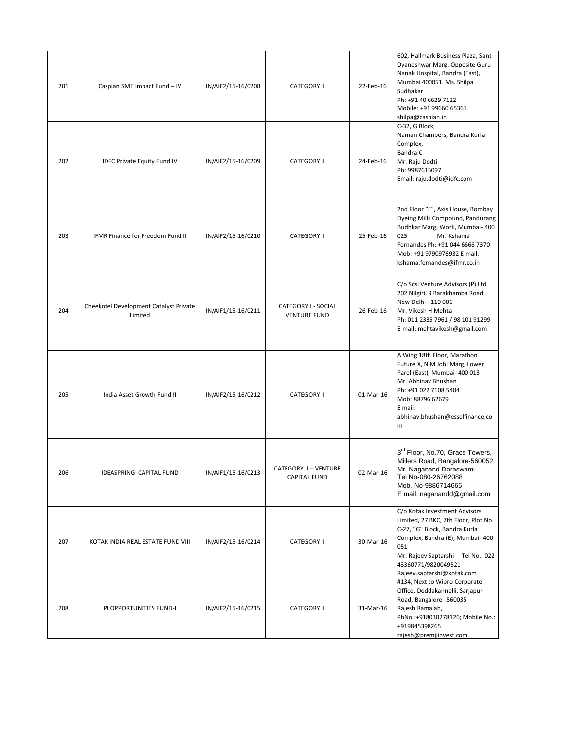| 201 | Caspian SME Impact Fund - IV                      | IN/AIF2/15-16/0208 | <b>CATEGORY II</b>                         | 22-Feb-16 | 602, Hallmark Business Plaza, Sant<br>Dyaneshwar Marg, Opposite Guru<br>Nanak Hospital, Bandra (East),<br>Mumbai 400051. Ms. Shilpa<br>Sudhakar<br>Ph: +91 40 6629 7122<br>Mobile: +91 99660 65361<br>shilpa@caspian.in                      |
|-----|---------------------------------------------------|--------------------|--------------------------------------------|-----------|----------------------------------------------------------------------------------------------------------------------------------------------------------------------------------------------------------------------------------------------|
| 202 | <b>IDFC Private Equity Fund IV</b>                | IN/AIF2/15-16/0209 | <b>CATEGORY II</b>                         | 24-Feb-16 | C-32, G Block,<br>Naman Chambers, Bandra Kurla<br>Complex,<br>Bandra €<br>Mr. Raju Dodti<br>Ph: 9987615097<br>Email: raju.dodti@idfc.com                                                                                                     |
| 203 | IFMR Finance for Freedom Fund II                  | IN/AIF2/15-16/0210 | <b>CATEGORY II</b>                         | 25-Feb-16 | 2nd Floor "E", Axis House, Bombay<br>Dyeing Mills Compound, Pandurang<br>Budhkar Marg, Worli, Mumbai- 400<br>025<br>Mr. Kshama<br>Fernandes Ph: +91 044 6668 7370<br>Mob: +91 9790976932 E-mail:<br>kshama.fernandes@ifmr.co.in              |
| 204 | Cheekotel Development Catalyst Private<br>Limited | IN/AIF1/15-16/0211 | CATEGORY I - SOCIAL<br><b>VENTURE FUND</b> | 26-Feb-16 | C/o Scsi Venture Advisors (P) Ltd<br>202 Nilgiri, 9 Barakhamba Road<br>New Delhi - 110 001<br>Mr. Vikesh H Mehta<br>Ph: 011 2335 7961 / 98 101 91299<br>E-mail: mehtavikesh@gmail.com                                                        |
| 205 | India Asset Growth Fund II                        | IN/AIF2/15-16/0212 | <b>CATEGORY II</b>                         | 01-Mar-16 | A Wing 18th Floor, Marathon<br>Future X, N M Johi Marg, Lower<br>Parel (East), Mumbai- 400 013<br>Mr. Abhinav Bhushan<br>Ph: +91 022 7108 5404<br>Mob: 88796 62679<br>E mail:<br>abhinav.bhushan@esselfinance.co<br>m                        |
| 206 | <b>IDEASPRING CAPITAL FUND</b>                    | IN/AIF1/15-16/0213 | CATEGORY I-VENTURE<br><b>CAPITAL FUND</b>  | 02-Mar-16 | 3rd Floor, No.70, Grace Towers,<br>Millers Road, Bangalore-560052.<br>Mr. Naganand Doraswami<br>Tel No-080-26762088<br>Mob. No-9886714665<br>E mail: naganandd@gmail.com                                                                     |
| 207 | KOTAK INDIA REAL ESTATE FUND VIII                 | IN/AIF2/15-16/0214 | <b>CATEGORY II</b>                         | 30-Mar-16 | C/o Kotak Investment Advisors<br>Limited, 27 BKC, 7th Floor, Plot No.<br>C-27, "G" Block, Bandra Kurla<br>Complex, Bandra (E), Mumbai- 400<br>051<br>Mr. Rajeev Saptarshi Tel No.: 022-<br>43360771/9820049521<br>Rajeev.saptarshi@kotak.com |
| 208 | PI OPPORTUNITIES FUND-I                           | IN/AIF2/15-16/0215 | <b>CATEGORY II</b>                         | 31-Mar-16 | #134, Next to Wipro Corporate<br>Office, Doddakannelli, Sarjapur<br>Road, Bangalore--560035<br>Rajesh Ramaiah,<br>PhNo.:+918030278126; Mobile No.:<br>+919845398265<br>rajesh@premjiinvest.com                                               |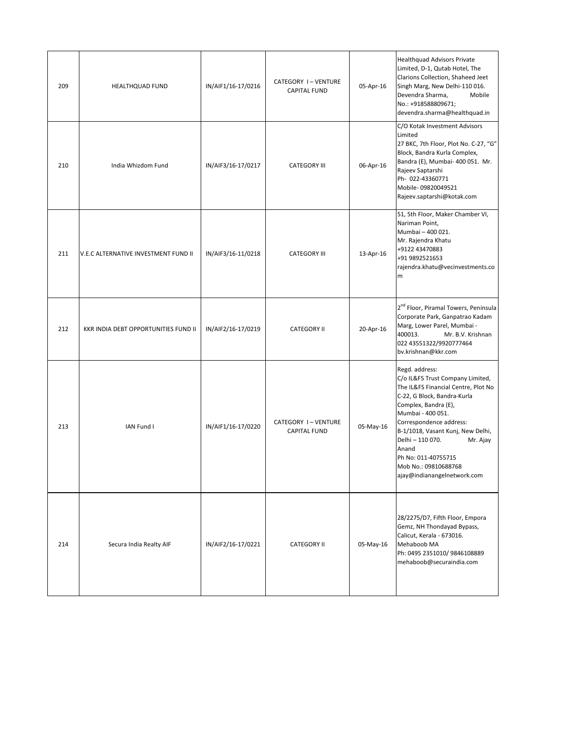| 209 | <b>HEALTHQUAD FUND</b>               | IN/AIF1/16-17/0216 | CATEGORY I-VENTURE<br><b>CAPITAL FUND</b> | 05-Apr-16 | Healthquad Advisors Private<br>Limited, D-1, Qutab Hotel, The<br>Clarions Collection, Shaheed Jeet<br>Singh Marg, New Delhi-110 016.<br>Devendra Sharma,<br>Mobile<br>No.: +918588809671;<br>devendra.sharma@healthquad.in                                                                                                                                   |
|-----|--------------------------------------|--------------------|-------------------------------------------|-----------|--------------------------------------------------------------------------------------------------------------------------------------------------------------------------------------------------------------------------------------------------------------------------------------------------------------------------------------------------------------|
| 210 | India Whizdom Fund                   | IN/AIF3/16-17/0217 | <b>CATEGORY III</b>                       | 06-Apr-16 | C/O Kotak Investment Advisors<br>Limited<br>27 BKC, 7th Floor, Plot No. C-27, "G"<br>Block, Bandra Kurla Complex,<br>Bandra (E), Mumbai- 400 051. Mr.<br>Rajeev Saptarshi<br>Ph- 022-43360771<br>Mobile-09820049521<br>Rajeev.saptarshi@kotak.com                                                                                                            |
| 211 | V.E.C ALTERNATIVE INVESTMENT FUND II | IN/AIF3/16-11/0218 | <b>CATEGORY III</b>                       | 13-Apr-16 | 51, 5th Floor, Maker Chamber VI,<br>Nariman Point,<br>Mumbai - 400 021.<br>Mr. Rajendra Khatu<br>+9122 43470883<br>+91 9892521653<br>rajendra.khatu@vecinvestments.co<br>m                                                                                                                                                                                   |
| 212 | KKR INDIA DEBT OPPORTUNITIES FUND II | IN/AIF2/16-17/0219 | <b>CATEGORY II</b>                        | 20-Apr-16 | 2 <sup>nd</sup> Floor, Piramal Towers, Peninsula<br>Corporate Park, Ganpatrao Kadam<br>Marg, Lower Parel, Mumbai -<br>400013.<br>Mr. B.V. Krishnan<br>022 43551322/9920777464<br>bv.krishnan@kkr.com                                                                                                                                                         |
| 213 | IAN Fund I                           | IN/AIF1/16-17/0220 | CATEGORY I-VENTURE<br><b>CAPITAL FUND</b> | 05-May-16 | Regd. address:<br>C/o IL&FS Trust Company Limited,<br>The IL&FS Financial Centre, Plot No<br>C-22, G Block, Bandra-Kurla<br>Complex, Bandra (E),<br>Mumbai - 400 051.<br>Correspondence address:<br>B-1/1018, Vasant Kunj, New Delhi,<br>Delhi - 110 070.<br>Mr. Ajay<br>Anand<br>Ph No: 011-40755715<br>Mob No.: 09810688768<br>ajay@indianangelnetwork.com |
| 214 | Secura India Realty AIF              | IN/AIF2/16-17/0221 | <b>CATEGORY II</b>                        | 05-May-16 | 28/2275/D7, Fifth Floor, Empora<br>Gemz, NH Thondayad Bypass,<br>Calicut, Kerala - 673016.<br>Mehaboob MA<br>Ph: 0495 2351010/ 9846108889<br>mehaboob@securaindia.com                                                                                                                                                                                        |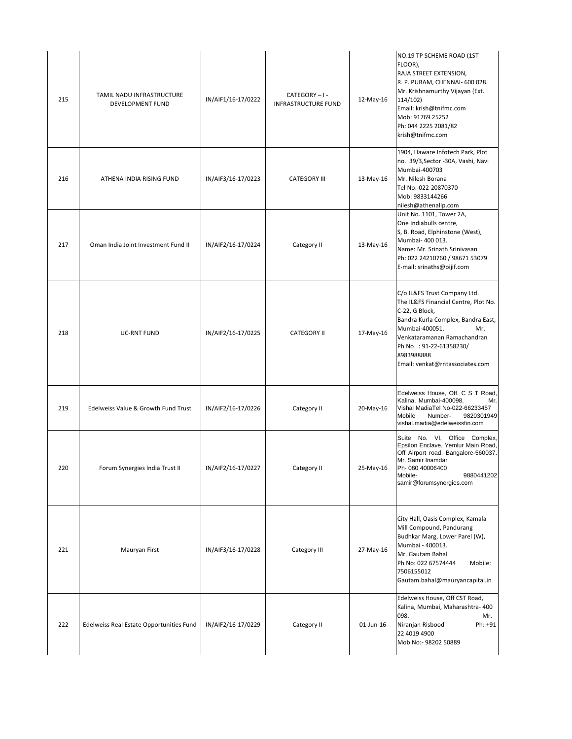| 216<br>217 | ATHENA INDIA RISING FUND<br>Oman India Joint Investment Fund II | IN/AIF3/16-17/0223<br>IN/AIF2/16-17/0224 | <b>CATEGORY III</b><br>Category II | 13-May-16<br>13-May-16 | no. 39/3, Sector - 30A, Vashi, Navi<br>Mumbai-400703<br>Mr. Nilesh Borana<br>Tel No:-022-20870370<br>Mob: 9833144266<br>nilesh@athenallp.com<br>Unit No. 1101, Tower 2A,<br>One Indiabulls centre,<br>S, B. Road, Elphinstone (West),<br>Mumbai- 400 013.<br>Name: Mr. Srinath Srinivasan<br>Ph: 022 24210760 / 98671 53079<br>E-mail: srinaths@oijif.com |
|------------|-----------------------------------------------------------------|------------------------------------------|------------------------------------|------------------------|-----------------------------------------------------------------------------------------------------------------------------------------------------------------------------------------------------------------------------------------------------------------------------------------------------------------------------------------------------------|
| 218        | <b>UC-RNT FUND</b>                                              | IN/AIF2/16-17/0225                       | <b>CATEGORY II</b>                 | 17-May-16              | C/o IL&FS Trust Company Ltd.<br>The IL&FS Financial Centre, Plot No.<br>C-22, G Block,<br>Bandra Kurla Complex, Bandra East,<br>Mumbai-400051.<br>Mr.<br>Venkataramanan Ramachandran<br>Ph No : 91-22-61358230/<br>8983988888<br>Email: venkat@rntassociates.com                                                                                          |
| 219        | Edelweiss Value & Growth Fund Trust                             | IN/AIF2/16-17/0226                       | Category II                        | 20-May-16              | Edelweiss House, Off. C S T Road,<br>Kalina, Mumbai-400098.<br>Mr.<br>Vishal MadiaTel No-022-66233457<br>Mobile<br>9820301949<br>Number-<br>vishal.madia@edelweissfin.com                                                                                                                                                                                 |
| 220        | Forum Synergies India Trust II                                  | IN/AIF2/16-17/0227                       | Category II                        | 25-May-16              | Suite No. VI, Office Complex,<br>Epsilon Enclave, Yemlur Main Road,<br>Off Airport road, Bangalore-560037.<br>Mr. Samir Inamdar<br>Ph- 080 40006400<br>Mobile-<br>9880441202<br>samir@forumsynergies.com                                                                                                                                                  |
| 221        | Mauryan First                                                   | IN/AIF3/16-17/0228                       | Category III                       | 27-May-16              | City Hall, Oasis Complex, Kamala<br>Mill Compound, Pandurang<br>Budhkar Marg, Lower Parel (W),<br>Mumbai - 400013.<br>Mr. Gautam Bahal<br>Ph No: 022 67574444<br>Mobile:<br>7506155012<br>Gautam.bahal@mauryancapital.in                                                                                                                                  |
| 222        | Edelweiss Real Estate Opportunities Fund                        | IN/AIF2/16-17/0229                       | Category II                        | 01-Jun-16              | Edelweiss House, Off CST Road,<br>Kalina, Mumbai, Maharashtra- 400<br>098.<br>Mr.<br>Niranjan Risbood<br>Ph: +91<br>22 4019 4900<br>Mob No:- 98202 50889                                                                                                                                                                                                  |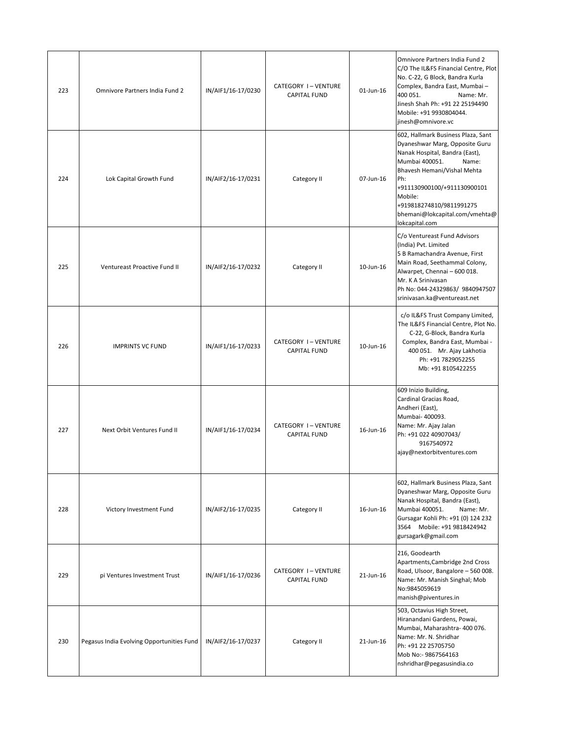| 223 | Omnivore Partners India Fund 2            | IN/AIF1/16-17/0230 | CATEGORY I-VENTURE<br><b>CAPITAL FUND</b> | 01-Jun-16 | Omnivore Partners India Fund 2<br>C/O The IL&FS Financial Centre, Plot<br>No. C-22, G Block, Bandra Kurla<br>Complex, Bandra East, Mumbai -<br>400 051.<br>Name: Mr.<br>Jinesh Shah Ph: +91 22 25194490<br>Mobile: +91 9930804044.<br>jinesh@omnivore.vc                                          |
|-----|-------------------------------------------|--------------------|-------------------------------------------|-----------|---------------------------------------------------------------------------------------------------------------------------------------------------------------------------------------------------------------------------------------------------------------------------------------------------|
| 224 | Lok Capital Growth Fund                   | IN/AIF2/16-17/0231 | Category II                               | 07-Jun-16 | 602, Hallmark Business Plaza, Sant<br>Dyaneshwar Marg, Opposite Guru<br>Nanak Hospital, Bandra (East),<br>Mumbai 400051.<br>Name:<br>Bhavesh Hemani/Vishal Mehta<br>Ph:<br>+911130900100/+911130900101<br>Mobile:<br>+919818274810/9811991275<br>bhemani@lokcapital.com/vmehta@<br>lokcapital.com |
| 225 | Ventureast Proactive Fund II              | IN/AIF2/16-17/0232 | Category II                               | 10-Jun-16 | C/o Ventureast Fund Advisors<br>(India) Pvt. Limited<br>5 B Ramachandra Avenue, First<br>Main Road, Seethammal Colony,<br>Alwarpet, Chennai - 600 018.<br>Mr. K A Srinivasan<br>Ph No: 044-24329863/ 9840947507<br>srinivasan.ka@ventureast.net                                                   |
| 226 | <b>IMPRINTS VC FUND</b>                   | IN/AIF1/16-17/0233 | CATEGORY I-VENTURE<br><b>CAPITAL FUND</b> | 10-Jun-16 | c/o IL&FS Trust Company Limited,<br>The IL&FS Financial Centre, Plot No.<br>C-22, G-Block, Bandra Kurla<br>Complex, Bandra East, Mumbai -<br>400 051. Mr. Ajay Lakhotia<br>Ph: +91 7829052255<br>Mb: +91 8105422255                                                                               |
| 227 | Next Orbit Ventures Fund II               | IN/AIF1/16-17/0234 | CATEGORY I-VENTURE<br><b>CAPITAL FUND</b> | 16-Jun-16 | 609 Inizio Building,<br>Cardinal Gracias Road,<br>Andheri (East),<br>Mumbai- 400093.<br>Name: Mr. Ajay Jalan<br>Ph: +91 022 40907043/<br>9167540972<br>ajay@nextorbitventures.com                                                                                                                 |
| 228 | Victory Investment Fund                   | IN/AIF2/16-17/0235 | Category II                               | 16-Jun-16 | 602, Hallmark Business Plaza, Sant<br>Dyaneshwar Marg, Opposite Guru<br>Nanak Hospital, Bandra (East),<br>Mumbai 400051.<br>Name: Mr.<br>Gursagar Kohli Ph: +91 (0) 124 232<br>3564 Mobile: +91 9818424942<br>gursagark@gmail.com                                                                 |
| 229 | pi Ventures Investment Trust              | IN/AIF1/16-17/0236 | CATEGORY I-VENTURE<br><b>CAPITAL FUND</b> | 21-Jun-16 | 216, Goodearth<br>Apartments, Cambridge 2nd Cross<br>Road, Ulsoor, Bangalore - 560 008.<br>Name: Mr. Manish Singhal; Mob<br>No:9845059619<br>manish@piventures.in                                                                                                                                 |
| 230 | Pegasus India Evolving Opportunities Fund | IN/AIF2/16-17/0237 | Category II                               | 21-Jun-16 | 503, Octavius High Street,<br>Hiranandani Gardens, Powai,<br>Mumbai, Maharashtra- 400 076.<br>Name: Mr. N. Shridhar<br>Ph: +91 22 25705750<br>Mob No:- 9867564163<br>nshridhar@pegasusindia.co                                                                                                    |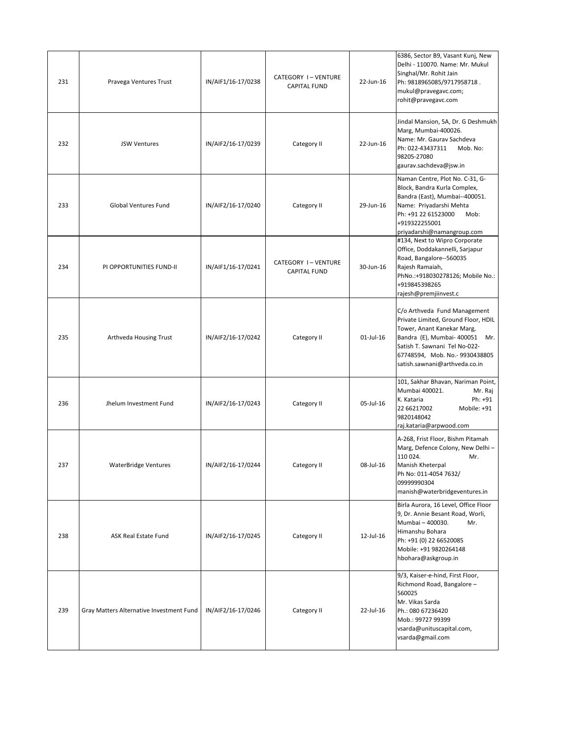| 231 | Pravega Ventures Trust                   | IN/AIF1/16-17/0238 | CATEGORY I-VENTURE<br><b>CAPITAL FUND</b> | 22-Jun-16    | 6386, Sector B9, Vasant Kunj, New<br>Delhi - 110070. Name: Mr. Mukul<br>Singhal/Mr. Rohit Jain<br>Ph: 9818965085/9717958718.<br>mukul@pravegavc.com;<br>rohit@pravegavc.com                                                            |
|-----|------------------------------------------|--------------------|-------------------------------------------|--------------|----------------------------------------------------------------------------------------------------------------------------------------------------------------------------------------------------------------------------------------|
| 232 | <b>JSW Ventures</b>                      | IN/AIF2/16-17/0239 | Category II                               | 22-Jun-16    | Jindal Mansion, 5A, Dr. G Deshmukh<br>Marg, Mumbai-400026.<br>Name: Mr. Gaurav Sachdeva<br>Ph: 022-43437311<br>Mob. No:<br>98205-27080<br>gaurav.sachdeva@jsw.in                                                                       |
| 233 | Global Ventures Fund                     | IN/AIF2/16-17/0240 | Category II                               | 29-Jun-16    | Naman Centre, Plot No. C-31, G-<br>Block, Bandra Kurla Complex,<br>Bandra (East), Mumbai--400051.<br>Name: Priyadarshi Mehta<br>Ph: +91 22 61523000<br>Mob:<br>+919322255001<br>priyadarshi@namangroup.com                             |
| 234 | PI OPPORTUNITIES FUND-II                 | IN/AIF1/16-17/0241 | CATEGORY I-VENTURE<br><b>CAPITAL FUND</b> | 30-Jun-16    | #134, Next to Wipro Corporate<br>Office, Doddakannelli, Sarjapur<br>Road, Bangalore--560035<br>Rajesh Ramaiah,<br>PhNo.:+918030278126; Mobile No.:<br>+919845398265<br>rajesh@premjiinvest.c                                           |
| 235 | Arthveda Housing Trust                   | IN/AIF2/16-17/0242 | Category II                               | $01$ -Jul-16 | C/o Arthveda Fund Management<br>Private Limited, Ground Floor, HDIL<br>Tower, Anant Kanekar Marg,<br>Bandra (E), Mumbai- 400051 Mr.<br>Satish T. Sawnani Tel No-022-<br>67748594, Mob. No.-9930438805<br>satish.sawnani@arthveda.co.in |
| 236 | Jhelum Investment Fund                   | IN/AIF2/16-17/0243 | Category II                               | 05-Jul-16    | 101, Sakhar Bhavan, Nariman Point,<br>Mumbai 400021.<br>Mr. Raj<br>K. Kataria<br>Ph: +91<br>22 66217002<br>Mobile: +91<br>9820148042<br>raj.kataria@arpwood.com                                                                        |
| 237 | <b>WaterBridge Ventures</b>              | IN/AIF2/16-17/0244 | Category II                               | 08-Jul-16    | A-268, Frist Floor, Bishm Pitamah<br>Marg, Defence Colony, New Delhi-<br>110 024.<br>Mr.<br><b>Manish Kheterpal</b><br>Ph No: 011-4054 7632/<br>09999990304<br>manish@waterbridgeventures.in                                           |
| 238 | ASK Real Estate Fund                     | IN/AIF2/16-17/0245 | Category II                               | 12-Jul-16    | Birla Aurora, 16 Level, Office Floor<br>9, Dr. Annie Besant Road, Worli,<br>Mumbai - 400030.<br>Mr.<br>Himanshu Bohara<br>Ph: +91 (0) 22 66520085<br>Mobile: +91 9820264148<br>hbohara@askgroup.in                                     |
| 239 | Gray Matters Alternative Investment Fund | IN/AIF2/16-17/0246 | Category II                               | 22-Jul-16    | 9/3, Kaiser-e-hind, First Floor,<br>Richmond Road, Bangalore -<br>560025<br>Mr. Vikas Sarda<br>Ph.: 080 67236420<br>Mob.: 99727 99399<br>vsarda@unituscapital.com,<br>vsarda@gmail.com                                                 |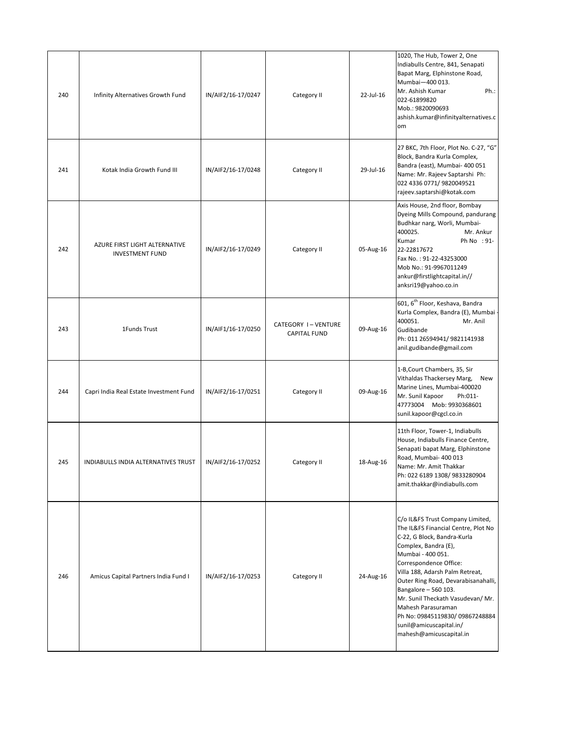| 240 | Infinity Alternatives Growth Fund                       | IN/AIF2/16-17/0247 | Category II                               | 22-Jul-16 | 1020, The Hub, Tower 2, One<br>Indiabulls Centre, 841, Senapati<br>Bapat Marg, Elphinstone Road,<br>Mumbai-400 013.<br>Ph.:<br>Mr. Ashish Kumar<br>022-61899820<br>Mob.: 9820090693<br>ashish.kumar@infinityalternatives.c<br>om                                                                                                                                                                                                   |
|-----|---------------------------------------------------------|--------------------|-------------------------------------------|-----------|------------------------------------------------------------------------------------------------------------------------------------------------------------------------------------------------------------------------------------------------------------------------------------------------------------------------------------------------------------------------------------------------------------------------------------|
| 241 | Kotak India Growth Fund III                             | IN/AIF2/16-17/0248 | Category II                               | 29-Jul-16 | 27 BKC, 7th Floor, Plot No. C-27, "G"<br>Block, Bandra Kurla Complex,<br>Bandra (east), Mumbai- 400 051<br>Name: Mr. Rajeev Saptarshi Ph:<br>022 4336 0771/9820049521<br>rajeev.saptarshi@kotak.com                                                                                                                                                                                                                                |
| 242 | AZURE FIRST LIGHT ALTERNATIVE<br><b>INVESTMENT FUND</b> | IN/AIF2/16-17/0249 | Category II                               | 05-Aug-16 | Axis House, 2nd floor, Bombay<br>Dyeing Mills Compound, pandurang<br>Budhkar narg, Worli, Mumbai-<br>400025.<br>Mr. Ankur<br>Kumar<br>Ph No : 91-<br>22-22817672<br>Fax No.: 91-22-43253000<br>Mob No.: 91-9967011249<br>ankur@firstlightcapital.in//<br>anksri19@yahoo.co.in                                                                                                                                                      |
| 243 | 1Funds Trust                                            | IN/AIF1/16-17/0250 | CATEGORY I-VENTURE<br><b>CAPITAL FUND</b> | 09-Aug-16 | 601, 6 <sup>th</sup> Floor, Keshava, Bandra<br>Kurla Complex, Bandra (E), Mumbai<br>400051.<br>Mr. Anil<br>Gudibande<br>Ph: 011 26594941/ 9821141938<br>anil.gudibande@gmail.com                                                                                                                                                                                                                                                   |
| 244 | Capri India Real Estate Investment Fund                 | IN/AIF2/16-17/0251 | Category II                               | 09-Aug-16 | 1-B, Court Chambers, 35, Sir<br>Vithaldas Thackersey Marg,<br>New<br>Marine Lines, Mumbai-400020<br>Mr. Sunil Kapoor<br>Ph:011-<br>47773004 Mob: 9930368601<br>sunil.kapoor@cgcl.co.in                                                                                                                                                                                                                                             |
| 245 | INDIABULLS INDIA ALTERNATIVES TRUST                     | IN/AIF2/16-17/0252 | Category II                               | 18-Aug-16 | 11th Floor, Tower-1, Indiabulls<br>House, Indiabulls Finance Centre,<br>Senapati bapat Marg, Elphinstone<br>Road, Mumbai- 400 013<br>Name: Mr. Amit Thakkar<br>Ph: 022 6189 1308/ 9833280904<br>amit.thakkar@indiabulls.com                                                                                                                                                                                                        |
| 246 | Amicus Capital Partners India Fund I                    | IN/AIF2/16-17/0253 | Category II                               | 24-Aug-16 | C/o IL&FS Trust Company Limited,<br>The IL&FS Financial Centre, Plot No<br>C-22, G Block, Bandra-Kurla<br>Complex, Bandra (E),<br>Mumbai - 400 051.<br>Correspondence Office:<br>Villa 188, Adarsh Palm Retreat,<br>Outer Ring Road, Devarabisanahalli,<br>Bangalore - 560 103.<br>Mr. Sunil Theckath Vasudevan/ Mr.<br>Mahesh Parasuraman<br>Ph No: 09845119830/09867248884<br>sunil@amicuscapital.in/<br>mahesh@amicuscapital.in |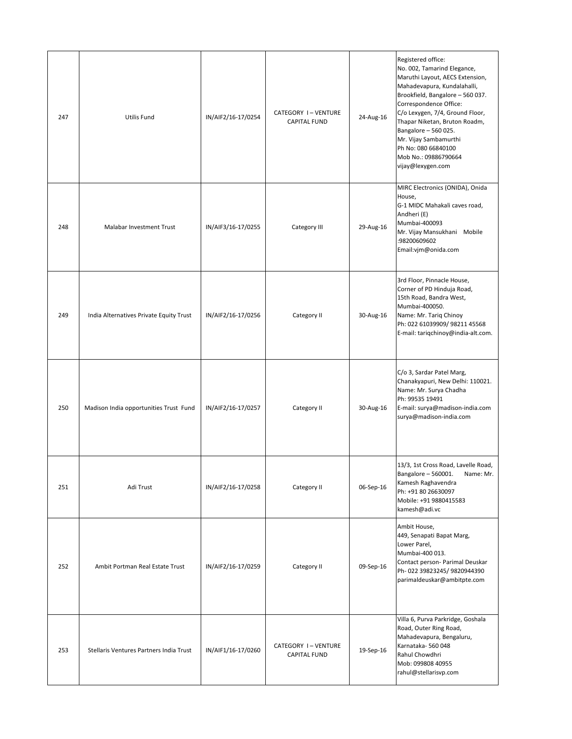| 247 | <b>Utilis Fund</b>                      | IN/AIF2/16-17/0254 | CATEGORY I-VENTURE<br><b>CAPITAL FUND</b> | 24-Aug-16 | Registered office:<br>No. 002, Tamarind Elegance,<br>Maruthi Layout, AECS Extension,<br>Mahadevapura, Kundalahalli,<br>Brookfield, Bangalore - 560 037.<br>Correspondence Office:<br>C/o Lexygen, 7/4, Ground Floor,<br>Thapar Niketan, Bruton Roadm,<br>Bangalore - 560 025.<br>Mr. Vijay Sambamurthi<br>Ph No: 080 66840100<br>Mob No.: 09886790664<br>vijay@lexygen.com |
|-----|-----------------------------------------|--------------------|-------------------------------------------|-----------|----------------------------------------------------------------------------------------------------------------------------------------------------------------------------------------------------------------------------------------------------------------------------------------------------------------------------------------------------------------------------|
| 248 | Malabar Investment Trust                | IN/AIF3/16-17/0255 | Category III                              | 29-Aug-16 | MIRC Electronics (ONIDA), Onida<br>House,<br>G-1 MIDC Mahakali caves road,<br>Andheri (E)<br>Mumbai-400093<br>Mr. Vijay Mansukhani Mobile<br>:98200609602<br>Email:vjm@onida.com                                                                                                                                                                                           |
| 249 | India Alternatives Private Equity Trust | IN/AIF2/16-17/0256 | Category II                               | 30-Aug-16 | 3rd Floor, Pinnacle House,<br>Corner of PD Hinduja Road,<br>15th Road, Bandra West,<br>Mumbai-400050.<br>Name: Mr. Tariq Chinoy<br>Ph: 022 61039909/ 98211 45568<br>E-mail: tariqchinoy@india-alt.com.                                                                                                                                                                     |
| 250 | Madison India opportunities Trust Fund  | IN/AIF2/16-17/0257 | Category II                               | 30-Aug-16 | C/o 3, Sardar Patel Marg,<br>Chanakyapuri, New Delhi: 110021.<br>Name: Mr. Surya Chadha<br>Ph: 99535 19491<br>E-mail: surya@madison-india.com<br>surya@madison-india.com                                                                                                                                                                                                   |
| 251 | Adi Trust                               | IN/AIF2/16-17/0258 | Category II                               | 06-Sep-16 | 13/3, 1st Cross Road, Lavelle Road,<br>Bangalore - 560001.<br>Name: Mr.<br>Kamesh Raghavendra<br>Ph: +91 80 26630097<br>Mobile: +91 9880415583<br>kamesh@adi.vc                                                                                                                                                                                                            |
| 252 | Ambit Portman Real Estate Trust         | IN/AIF2/16-17/0259 | Category II                               | 09-Sep-16 | Ambit House,<br>449, Senapati Bapat Marg,<br>Lower Parel,<br>Mumbai-400 013.<br>Contact person- Parimal Deuskar<br>Ph-022 39823245/9820944390<br>parimaldeuskar@ambitpte.com                                                                                                                                                                                               |
| 253 | Stellaris Ventures Partners India Trust | IN/AIF1/16-17/0260 | CATEGORY I-VENTURE<br><b>CAPITAL FUND</b> | 19-Sep-16 | Villa 6, Purva Parkridge, Goshala<br>Road, Outer Ring Road,<br>Mahadevapura, Bengaluru,<br>Karnataka-560048<br>Rahul Chowdhri<br>Mob: 099808 40955<br>rahul@stellarisvp.com                                                                                                                                                                                                |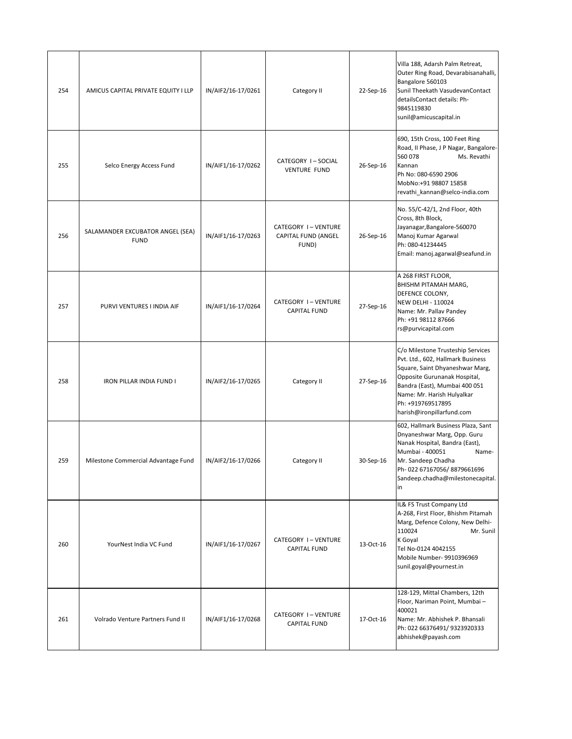| 254 | AMICUS CAPITAL PRIVATE EQUITY I LLP             | IN/AIF2/16-17/0261 | Category II                                        | 22-Sep-16 | Villa 188, Adarsh Palm Retreat,<br>Outer Ring Road, Devarabisanahalli,<br>Bangalore 560103<br>Sunil Theekath VasudevanContact<br>detailsContact details: Ph-<br>9845119830<br>sunil@amicuscapital.in                                                       |
|-----|-------------------------------------------------|--------------------|----------------------------------------------------|-----------|------------------------------------------------------------------------------------------------------------------------------------------------------------------------------------------------------------------------------------------------------------|
| 255 | Selco Energy Access Fund                        | IN/AIF1/16-17/0262 | CATEGORY I-SOCIAL<br><b>VENTURE FUND</b>           | 26-Sep-16 | 690, 15th Cross, 100 Feet Ring<br>Road, II Phase, J P Nagar, Bangalore-<br>560 078<br>Ms. Revathi<br>Kannan<br>Ph No: 080-6590 2906<br>MobNo:+91 98807 15858<br>revathi_kannan@selco-india.com                                                             |
| 256 | SALAMANDER EXCUBATOR ANGEL (SEA)<br><b>FUND</b> | IN/AIF1/16-17/0263 | CATEGORY I-VENTURE<br>CAPITAL FUND (ANGEL<br>FUND) | 26-Sep-16 | No. 55/C-42/1, 2nd Floor, 40th<br>Cross, 8th Block,<br>Jayanagar, Bangalore-560070<br>Manoj Kumar Agarwal<br>Ph: 080-41234445<br>Email: manoj.agarwal@seafund.in                                                                                           |
| 257 | PURVI VENTURES I INDIA AIF                      | IN/AIF1/16-17/0264 | CATEGORY I-VENTURE<br><b>CAPITAL FUND</b>          | 27-Sep-16 | A 268 FIRST FLOOR,<br>BHISHM PITAMAH MARG,<br>DEFENCE COLONY,<br>NEW DELHI - 110024<br>Name: Mr. Pallav Pandey<br>Ph: +91 98112 87666<br>rs@purvicapital.com                                                                                               |
| 258 | IRON PILLAR INDIA FUND I                        | IN/AIF2/16-17/0265 | Category II                                        | 27-Sep-16 | C/o Milestone Trusteship Services<br>Pvt. Ltd., 602, Hallmark Business<br>Square, Saint Dhyaneshwar Marg,<br>Opposite Gurunanak Hospital,<br>Bandra (East), Mumbai 400 051<br>Name: Mr. Harish Hulyalkar<br>Ph: +919769517895<br>harish@ironpillarfund.com |
| 259 | Milestone Commercial Advantage Fund             | IN/AIF2/16-17/0266 | Category II                                        | 30-Sep-16 | 602, Hallmark Business Plaza, Sant<br>Dnyaneshwar Marg, Opp. Guru<br>Nanak Hospital, Bandra (East),<br>Mumbai - 400051<br>Name-<br>Mr. Sandeep Chadha<br>Ph-022 67167056/8879661696<br>Sandeep.chadha@milestonecapital.<br>in                              |
| 260 | YourNest India VC Fund                          | IN/AIF1/16-17/0267 | CATEGORY I-VENTURE<br><b>CAPITAL FUND</b>          | 13-Oct-16 | IL& FS Trust Company Ltd<br>A-268, First Floor, Bhishm Pitamah<br>Marg, Defence Colony, New Delhi-<br>110024<br>Mr. Sunil<br>K Goyal<br>Tel No-0124 4042155<br>Mobile Number- 9910396969<br>sunil.goyal@yournest.in                                        |
| 261 | Volrado Venture Partners Fund II                | IN/AIF1/16-17/0268 | CATEGORY I-VENTURE<br><b>CAPITAL FUND</b>          | 17-Oct-16 | 128-129, Mittal Chambers, 12th<br>Floor, Nariman Point, Mumbai -<br>400021<br>Name: Mr. Abhishek P. Bhansali<br>Ph: 022 66376491/ 9323920333<br>abhishek@payash.com                                                                                        |